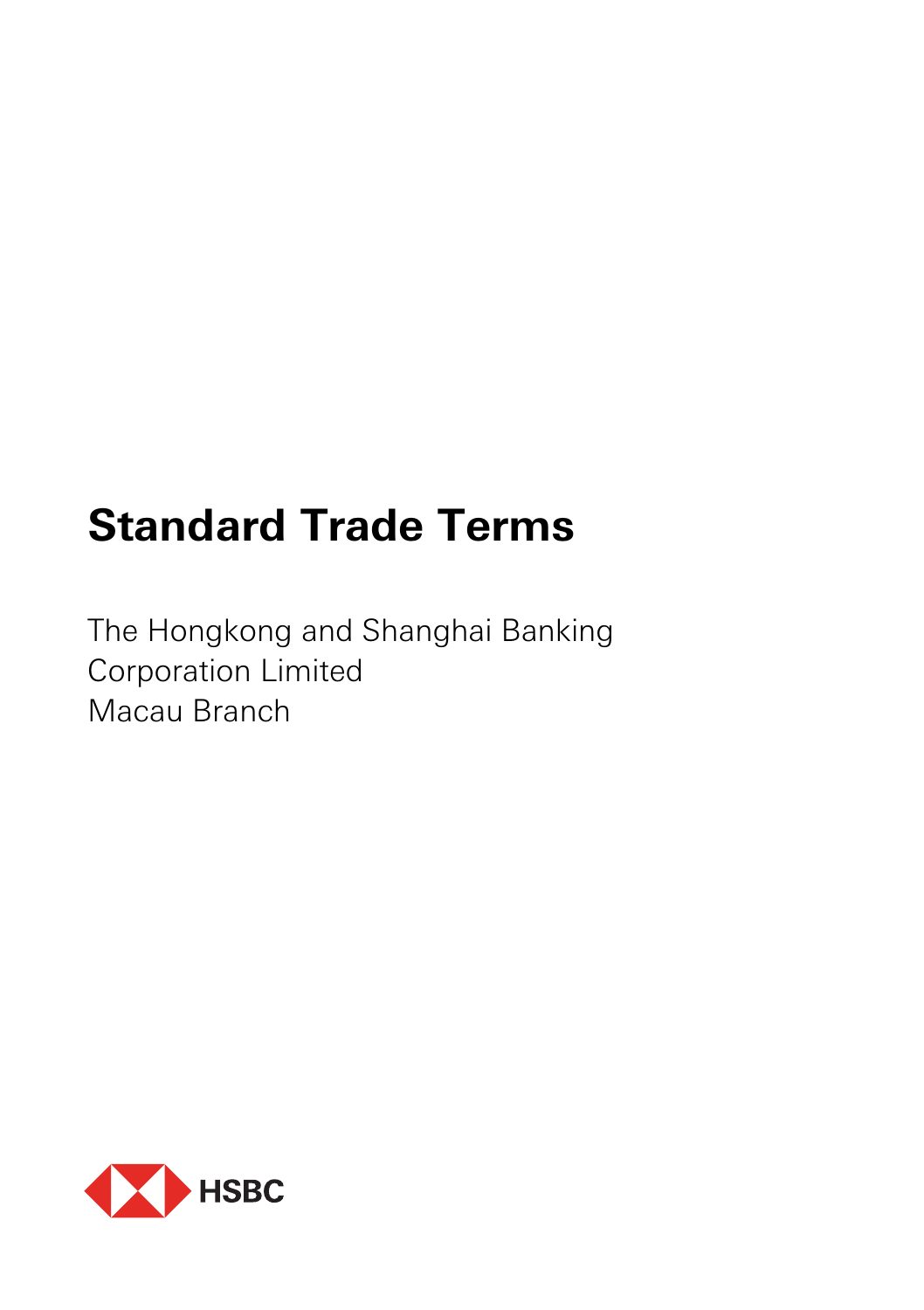# **Standard Trade Terms**

The Hongkong and Shanghai Banking Corporation Limited Macau Branch

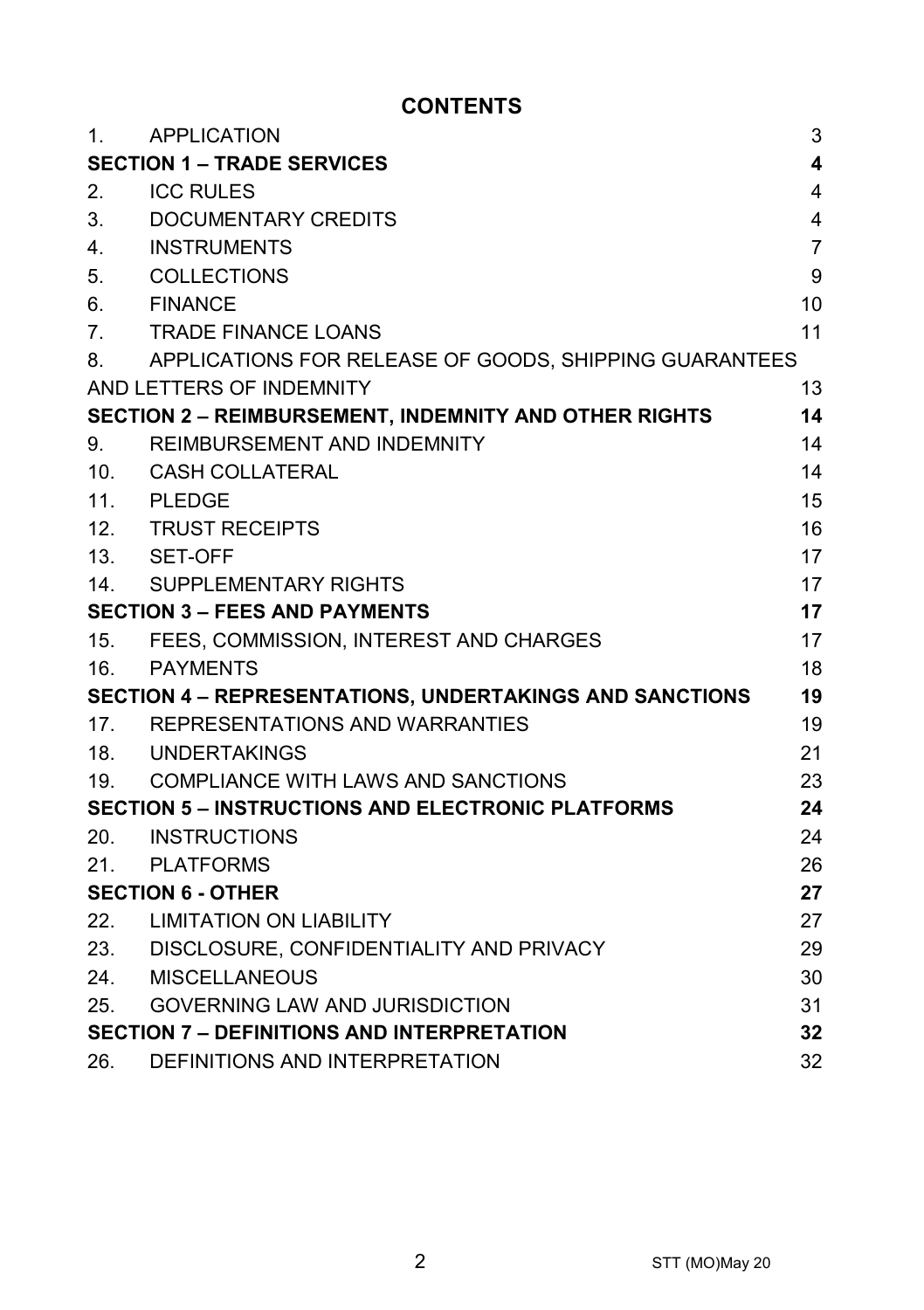# **CONTENTS**

| 1.                                   | APPLICATION                                              | 3                       |
|--------------------------------------|----------------------------------------------------------|-------------------------|
|                                      | <b>SECTION 1 - TRADE SERVICES</b>                        | $\overline{\mathbf{4}}$ |
| 2.                                   | <b>ICC RULES</b>                                         | 4                       |
| 3.                                   | DOCUMENTARY CREDITS                                      | 4                       |
| 4.                                   | <b>INSTRUMENTS</b>                                       | $\overline{7}$          |
| 5.                                   | COLLECTIONS                                              | 9                       |
| 6.                                   | <b>FINANCE</b>                                           | 10                      |
| 7 <sub>1</sub>                       | <b>TRADE FINANCE LOANS</b>                               | 11                      |
| 8.                                   | APPLICATIONS FOR RELEASE OF GOODS, SHIPPING GUARANTEES   |                         |
|                                      | AND LETTERS OF INDEMNITY                                 | 13                      |
|                                      | SECTION 2 - REIMBURSEMENT, INDEMNITY AND OTHER RIGHTS    | 14                      |
| 9.                                   | REIMBURSEMENT AND INDEMNITY                              | 14                      |
| 10.                                  | CASH COLLATERAL                                          | 14                      |
| 11.                                  | <b>PLEDGE</b>                                            | 15                      |
| 12.                                  | <b>TRUST RECEIPTS</b>                                    | 16                      |
|                                      | 13. SET-OFF                                              | 17                      |
| 14.                                  | SUPPLEMENTARY RIGHTS                                     | 17                      |
| <b>SECTION 3 - FEES AND PAYMENTS</b> |                                                          | 17                      |
|                                      | 15. FEES, COMMISSION, INTEREST AND CHARGES               | 17                      |
| 16.                                  | PAYMENTS                                                 | 18                      |
|                                      | SECTION 4 - REPRESENTATIONS, UNDERTAKINGS AND SANCTIONS  | 19                      |
| 17.                                  | REPRESENTATIONS AND WARRANTIES                           | 19                      |
|                                      | 18. UNDERTAKINGS                                         | 21                      |
| 19.                                  | COMPLIANCE WITH LAWS AND SANCTIONS                       | 23                      |
|                                      | <b>SECTION 5 - INSTRUCTIONS AND ELECTRONIC PLATFORMS</b> | 24                      |
|                                      | 20. INSTRUCTIONS                                         | 24                      |
| 21.                                  | PLATFORMS                                                | 26                      |
|                                      | <b>SECTION 6 - OTHER</b>                                 | 27                      |
|                                      | 22. LIMITATION ON LIABILITY                              | 27                      |
| 23.                                  | DISCLOSURE, CONFIDENTIALITY AND PRIVACY                  | 29                      |
| 24.                                  | MISCELLANEOUS                                            | 30                      |
| 25.                                  | <b>GOVERNING LAW AND JURISDICTION</b>                    | 31                      |
|                                      | <b>SECTION 7 - DEFINITIONS AND INTERPRETATION</b>        | 32                      |
| 26.                                  | DEFINITIONS AND INTERPRETATION                           | 32                      |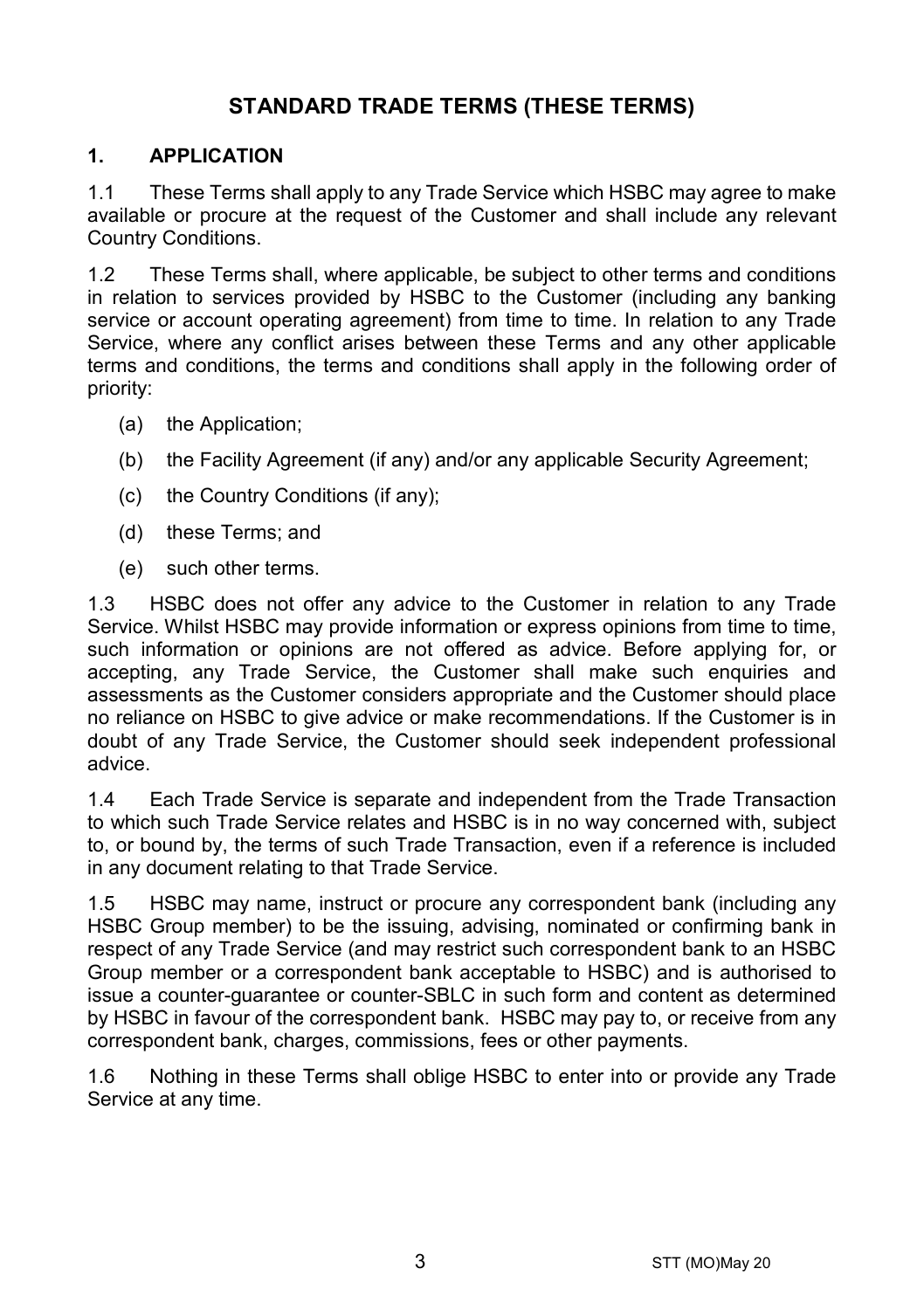# **STANDARD TRADE TERMS (THESE TERMS)**

## **1. APPLICATION**

1.1 These Terms shall apply to any Trade Service which HSBC may agree to make available or procure at the request of the Customer and shall include any relevant Country Conditions.

1.2 These Terms shall, where applicable, be subject to other terms and conditions in relation to services provided by HSBC to the Customer (including any banking service or account operating agreement) from time to time. In relation to any Trade Service, where any conflict arises between these Terms and any other applicable terms and conditions, the terms and conditions shall apply in the following order of priority:

- (a) the Application;
- (b) the Facility Agreement (if any) and/or any applicable Security Agreement;
- (c) the Country Conditions (if any);
- (d) these Terms; and
- (e) such other terms.

1.3 HSBC does not offer any advice to the Customer in relation to any Trade Service. Whilst HSBC may provide information or express opinions from time to time, such information or opinions are not offered as advice. Before applying for, or accepting, any Trade Service, the Customer shall make such enquiries and assessments as the Customer considers appropriate and the Customer should place no reliance on HSBC to give advice or make recommendations. If the Customer is in doubt of any Trade Service, the Customer should seek independent professional advice.

1.4 Each Trade Service is separate and independent from the Trade Transaction to which such Trade Service relates and HSBC is in no way concerned with, subject to, or bound by, the terms of such Trade Transaction, even if a reference is included in any document relating to that Trade Service.

1.5 HSBC may name, instruct or procure any correspondent bank (including any HSBC Group member) to be the issuing, advising, nominated or confirming bank in respect of any Trade Service (and may restrict such correspondent bank to an HSBC Group member or a correspondent bank acceptable to HSBC) and is authorised to issue a counter-guarantee or counter-SBLC in such form and content as determined by HSBC in favour of the correspondent bank. HSBC may pay to, or receive from any correspondent bank, charges, commissions, fees or other payments.

1.6 Nothing in these Terms shall oblige HSBC to enter into or provide any Trade Service at any time.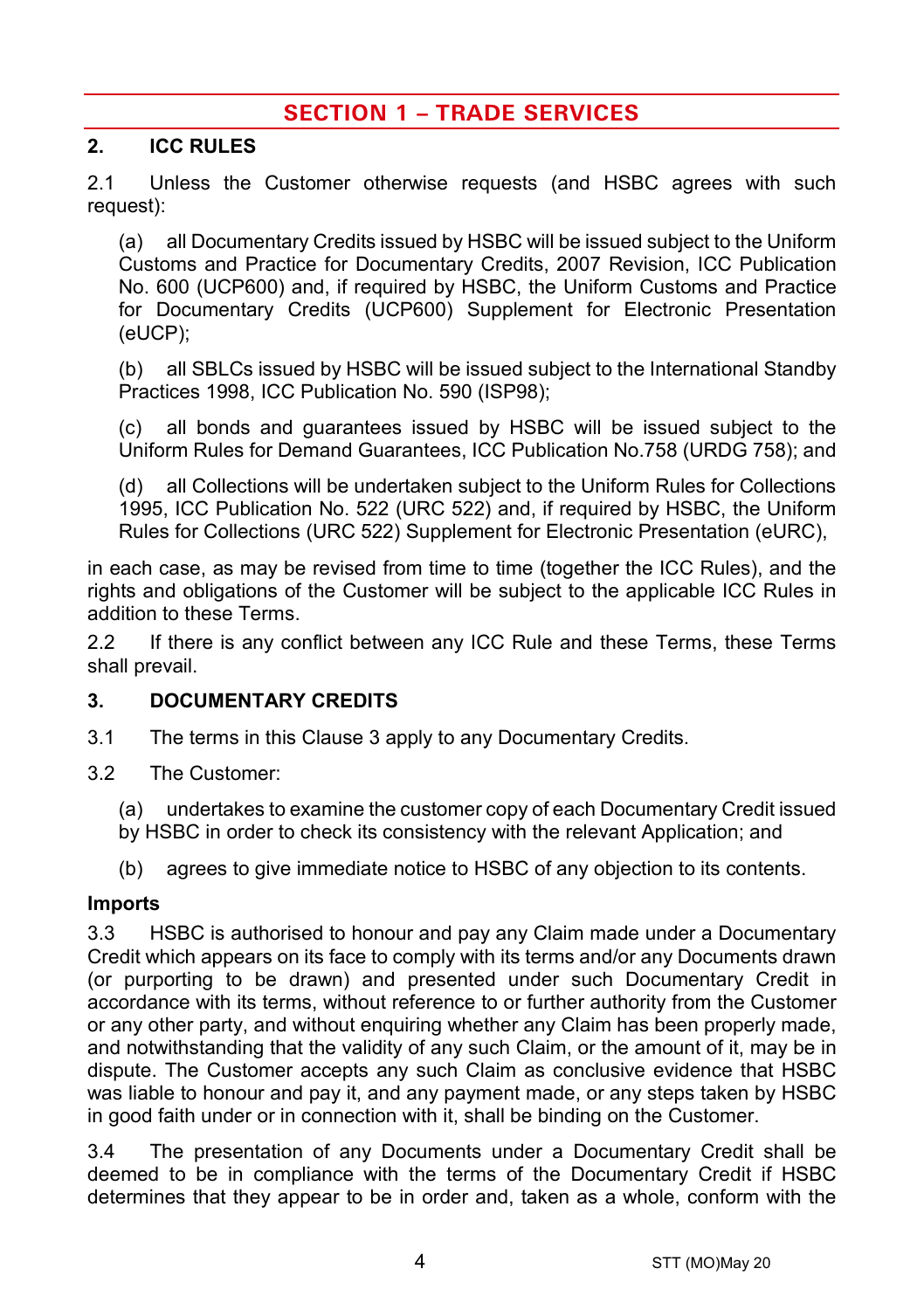# **SECTION 1 – TRADE SERVICES**

## **2. ICC RULES**

2.1 Unless the Customer otherwise requests (and HSBC agrees with such request):

(a) all Documentary Credits issued by HSBC will be issued subject to the Uniform Customs and Practice for Documentary Credits, 2007 Revision, ICC Publication No. 600 (UCP600) and, if required by HSBC, the Uniform Customs and Practice for Documentary Credits (UCP600) Supplement for Electronic Presentation (eUCP);

(b) all SBLCs issued by HSBC will be issued subject to the International Standby Practices 1998, ICC Publication No. 590 (ISP98);

(c) all bonds and guarantees issued by HSBC will be issued subject to the Uniform Rules for Demand Guarantees, ICC Publication No.758 (URDG 758); and

(d) all Collections will be undertaken subject to the Uniform Rules for Collections 1995, ICC Publication No. 522 (URC 522) and, if required by HSBC, the Uniform Rules for Collections (URC 522) Supplement for Electronic Presentation (eURC),

in each case, as may be revised from time to time (together the ICC Rules), and the rights and obligations of the Customer will be subject to the applicable ICC Rules in addition to these Terms.

2.2 If there is any conflict between any ICC Rule and these Terms, these Terms shall prevail.

## <span id="page-3-0"></span>**3. DOCUMENTARY CREDITS**

- 3.1 The terms in this Claus[e 3](#page-3-0) apply to any Documentary Credits.
- 3.2 The Customer:
	- (a) undertakes to examine the customer copy of each Documentary Credit issued by HSBC in order to check its consistency with the relevant Application; and
	- (b) agrees to give immediate notice to HSBC of any objection to its contents.

#### **Imports**

3.3 HSBC is authorised to honour and pay any Claim made under a Documentary Credit which appears on its face to comply with its terms and/or any Documents drawn (or purporting to be drawn) and presented under such Documentary Credit in accordance with its terms, without reference to or further authority from the Customer or any other party, and without enquiring whether any Claim has been properly made, and notwithstanding that the validity of any such Claim, or the amount of it, may be in dispute. The Customer accepts any such Claim as conclusive evidence that HSBC was liable to honour and pay it, and any payment made, or any steps taken by HSBC in good faith under or in connection with it, shall be binding on the Customer.

3.4 The presentation of any Documents under a Documentary Credit shall be deemed to be in compliance with the terms of the Documentary Credit if HSBC determines that they appear to be in order and, taken as a whole, conform with the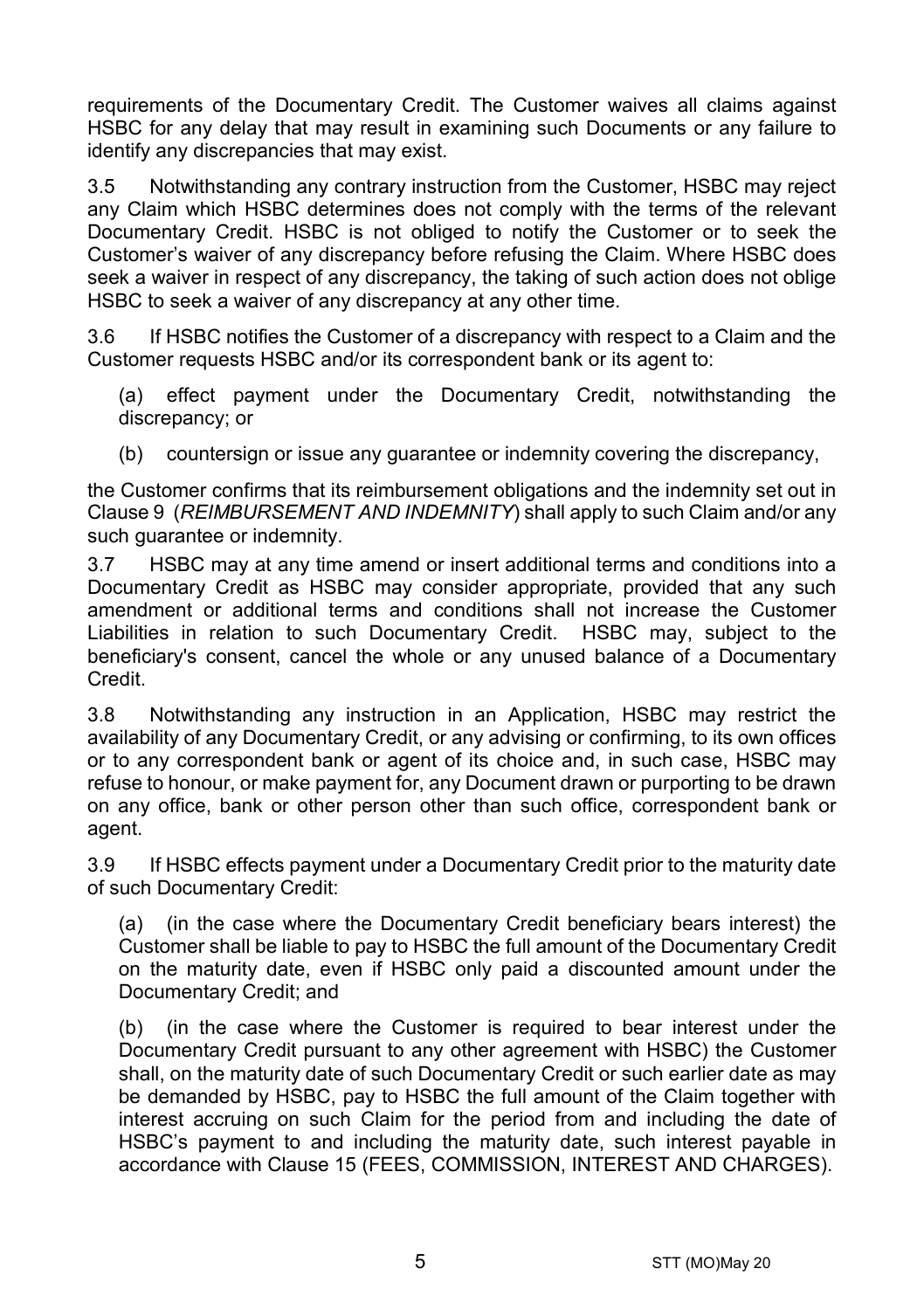requirements of the Documentary Credit. The Customer waives all claims against HSBC for any delay that may result in examining such Documents or any failure to identify any discrepancies that may exist.

3.5 Notwithstanding any contrary instruction from the Customer, HSBC may reject any Claim which HSBC determines does not comply with the terms of the relevant Documentary Credit. HSBC is not obliged to notify the Customer or to seek the Customer's waiver of any discrepancy before refusing the Claim. Where HSBC does seek a waiver in respect of any discrepancy, the taking of such action does not oblige HSBC to seek a waiver of any discrepancy at any other time.

3.6 If HSBC notifies the Customer of a discrepancy with respect to a Claim and the Customer requests HSBC and/or its correspondent bank or its agent to:

(a) effect payment under the Documentary Credit, notwithstanding the discrepancy; or

(b) countersign or issue any quarantee or indemnity covering the discrepancy,

the Customer confirms that its reimbursement obligations and the indemnity set out in Claus[e 9](#page-13-0) (*[REIMBURSEMENT AND INDEMNITY](#page-13-0)*) shall apply to such Claim and/or any such guarantee or indemnity.

3.7 HSBC may at any time amend or insert additional terms and conditions into a Documentary Credit as HSBC may consider appropriate, provided that any such amendment or additional terms and conditions shall not increase the Customer Liabilities in relation to such Documentary Credit. HSBC may, subject to the beneficiary's consent, cancel the whole or any unused balance of a Documentary Credit.

3.8 Notwithstanding any instruction in an Application, HSBC may restrict the availability of any Documentary Credit, or any advising or confirming, to its own offices or to any correspondent bank or agent of its choice and, in such case, HSBC may refuse to honour, or make payment for, any Document drawn or purporting to be drawn on any office, bank or other person other than such office, correspondent bank or agent.

3.9 If HSBC effects payment under a Documentary Credit prior to the maturity date of such Documentary Credit:

(a) (in the case where the Documentary Credit beneficiary bears interest) the Customer shall be liable to pay to HSBC the full amount of the Documentary Credit on the maturity date, even if HSBC only paid a discounted amount under the Documentary Credit; and

(b) (in the case where the Customer is required to bear interest under the Documentary Credit pursuant to any other agreement with HSBC) the Customer shall, on the maturity date of such Documentary Credit or such earlier date as may be demanded by HSBC, pay to HSBC the full amount of the Claim together with interest accruing on such Claim for the period from and including the date of HSBC's payment to and including the maturity date, such interest payable in accordance with Clause [15](#page-16-0) [\(FEES, COMMISSION, INTEREST AND CHARGES\)](#page-16-0).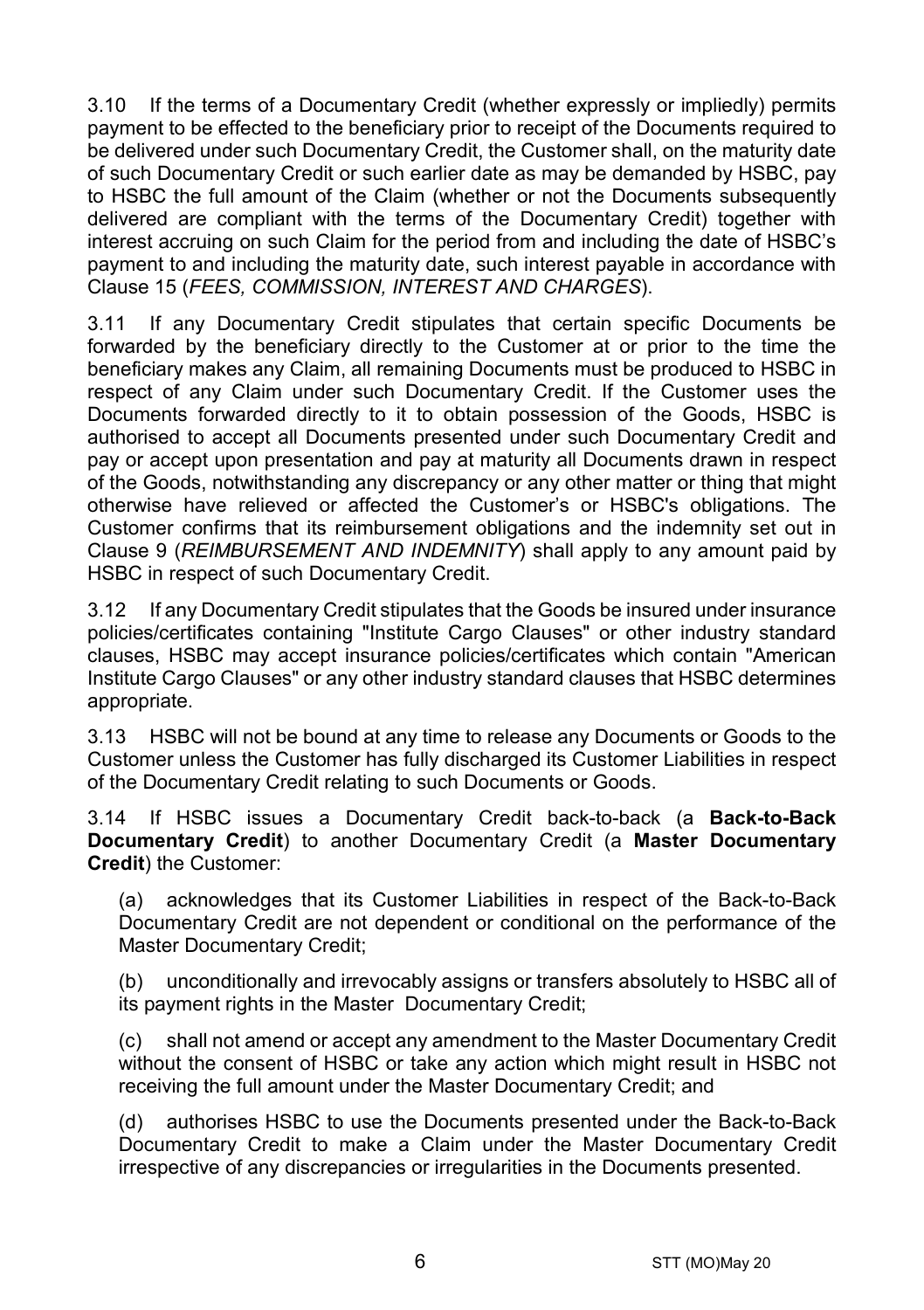3.10 If the terms of a Documentary Credit (whether expressly or impliedly) permits payment to be effected to the beneficiary prior to receipt of the Documents required to be delivered under such Documentary Credit, the Customer shall, on the maturity date of such Documentary Credit or such earlier date as may be demanded by HSBC, pay to HSBC the full amount of the Claim (whether or not the Documents subsequently delivered are compliant with the terms of the Documentary Credit) together with interest accruing on such Claim for the period from and including the date of HSBC's payment to and including the maturity date, such interest payable in accordance with Clause [15](#page-16-0) (*[FEES, COMMISSION, INTEREST AND CHARGES](#page-16-0)*).

3.11 If any Documentary Credit stipulates that certain specific Documents be forwarded by the beneficiary directly to the Customer at or prior to the time the beneficiary makes any Claim, all remaining Documents must be produced to HSBC in respect of any Claim under such Documentary Credit. If the Customer uses the Documents forwarded directly to it to obtain possession of the Goods, HSBC is authorised to accept all Documents presented under such Documentary Credit and pay or accept upon presentation and pay at maturity all Documents drawn in respect of the Goods, notwithstanding any discrepancy or any other matter or thing that might otherwise have relieved or affected the Customer's or HSBC's obligations. The Customer confirms that its reimbursement obligations and the indemnity set out in Clause [9](#page-13-0) (*[REIMBURSEMENT AND INDEMNITY](#page-13-0)*) shall apply to any amount paid by HSBC in respect of such Documentary Credit.

3.12 If any Documentary Credit stipulates that the Goods be insured under insurance policies/certificates containing "Institute Cargo Clauses" or other industry standard clauses, HSBC may accept insurance policies/certificates which contain "American Institute Cargo Clauses" or any other industry standard clauses that HSBC determines appropriate.

3.13 HSBC will not be bound at any time to release any Documents or Goods to the Customer unless the Customer has fully discharged its Customer Liabilities in respect of the Documentary Credit relating to such Documents or Goods.

<span id="page-5-0"></span>3.14 If HSBC issues a Documentary Credit back-to-back (a **Back-to-Back Documentary Credit**) to another Documentary Credit (a **Master Documentary Credit**) the Customer:

(a) acknowledges that its Customer Liabilities in respect of the Back-to-Back Documentary Credit are not dependent or conditional on the performance of the Master Documentary Credit;

(b) unconditionally and irrevocably assigns or transfers absolutely to HSBC all of its payment rights in the Master Documentary Credit;

(c) shall not amend or accept any amendment to the Master Documentary Credit without the consent of HSBC or take any action which might result in HSBC not receiving the full amount under the Master Documentary Credit; and

(d) authorises HSBC to use the Documents presented under the Back-to-Back Documentary Credit to make a Claim under the Master Documentary Credit irrespective of any discrepancies or irregularities in the Documents presented.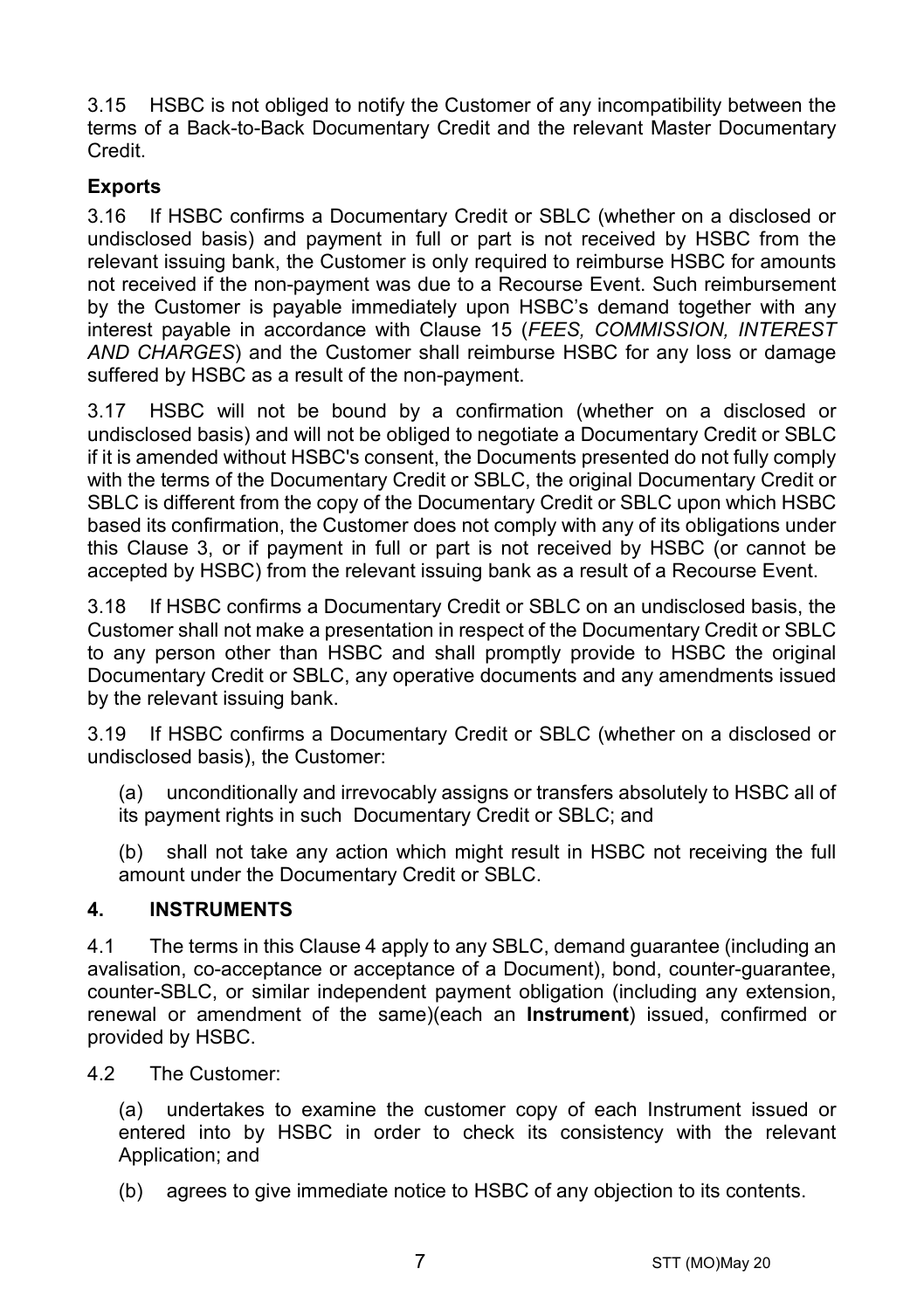3.15 HSBC is not obliged to notify the Customer of any incompatibility between the terms of a Back-to-Back Documentary Credit and the relevant Master Documentary Credit.

# **Exports**

3.16 If HSBC confirms a Documentary Credit or SBLC (whether on a disclosed or undisclosed basis) and payment in full or part is not received by HSBC from the relevant issuing bank, the Customer is only required to reimburse HSBC for amounts not received if the non-payment was due to a Recourse Event. Such reimbursement by the Customer is payable immediately upon HSBC's demand together with any interest payable in accordance with Clause [15](#page-16-0) (*[FEES, COMMISSION, INTEREST](#page-16-0)  [AND CHARGES](#page-16-0)*) and the Customer shall reimburse HSBC for any loss or damage suffered by HSBC as a result of the non-payment.

3.17 HSBC will not be bound by a confirmation (whether on a disclosed or undisclosed basis) and will not be obliged to negotiate a Documentary Credit or SBLC if it is amended without HSBC's consent, the Documents presented do not fully comply with the terms of the Documentary Credit or SBLC, the original Documentary Credit or SBLC is different from the copy of the Documentary Credit or SBLC upon which HSBC based its confirmation, the Customer does not comply with any of its obligations under this Clause [3,](#page-3-0) or if payment in full or part is not received by HSBC (or cannot be accepted by HSBC) from the relevant issuing bank as a result of a Recourse Event.

3.18 If HSBC confirms a Documentary Credit or SBLC on an undisclosed basis, the Customer shall not make a presentation in respect of the Documentary Credit or SBLC to any person other than HSBC and shall promptly provide to HSBC the original Documentary Credit or SBLC, any operative documents and any amendments issued by the relevant issuing bank.

3.19 If HSBC confirms a Documentary Credit or SBLC (whether on a disclosed or undisclosed basis), the Customer:

(a) unconditionally and irrevocably assigns or transfers absolutely to HSBC all of its payment rights in such Documentary Credit or SBLC; and

(b) shall not take any action which might result in HSBC not receiving the full amount under the Documentary Credit or SBLC.

## <span id="page-6-0"></span>**4. INSTRUMENTS**

4.1 The terms in this Claus[e 4](#page-6-0) apply to any SBLC, demand guarantee (including an avalisation, co-acceptance or acceptance of a Document), bond, counter-guarantee, counter-SBLC, or similar independent payment obligation (including any extension, renewal or amendment of the same)(each an **Instrument**) issued, confirmed or provided by HSBC.

4.2 The Customer:

(a) undertakes to examine the customer copy of each Instrument issued or entered into by HSBC in order to check its consistency with the relevant Application; and

(b) agrees to give immediate notice to HSBC of any objection to its contents.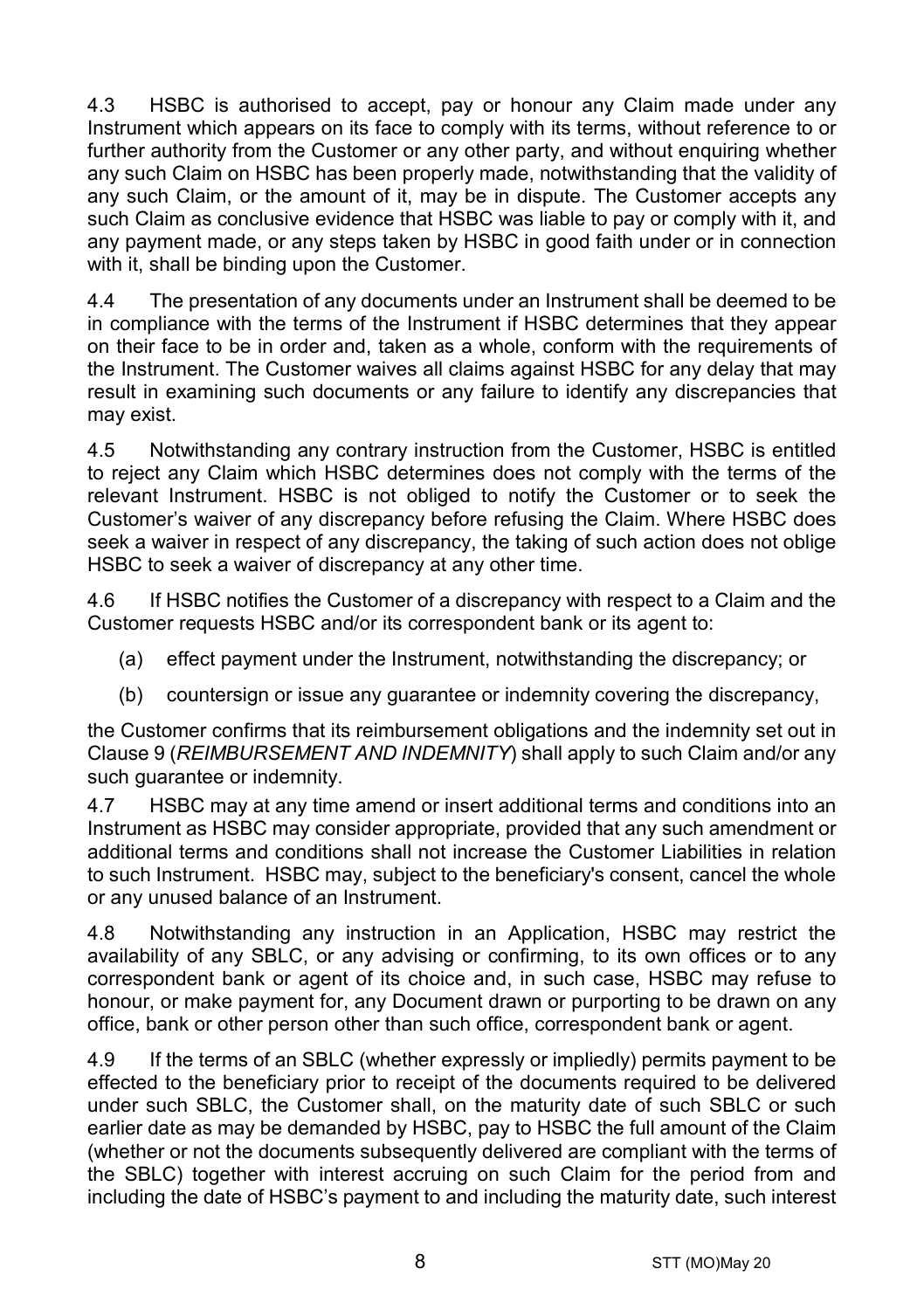4.3 HSBC is authorised to accept, pay or honour any Claim made under any Instrument which appears on its face to comply with its terms, without reference to or further authority from the Customer or any other party, and without enquiring whether any such Claim on HSBC has been properly made, notwithstanding that the validity of any such Claim, or the amount of it, may be in dispute. The Customer accepts any such Claim as conclusive evidence that HSBC was liable to pay or comply with it, and any payment made, or any steps taken by HSBC in good faith under or in connection with it, shall be binding upon the Customer.

4.4 The presentation of any documents under an Instrument shall be deemed to be in compliance with the terms of the Instrument if HSBC determines that they appear on their face to be in order and, taken as a whole, conform with the requirements of the Instrument. The Customer waives all claims against HSBC for any delay that may result in examining such documents or any failure to identify any discrepancies that may exist.

4.5 Notwithstanding any contrary instruction from the Customer, HSBC is entitled to reject any Claim which HSBC determines does not comply with the terms of the relevant Instrument. HSBC is not obliged to notify the Customer or to seek the Customer's waiver of any discrepancy before refusing the Claim. Where HSBC does seek a waiver in respect of any discrepancy, the taking of such action does not oblige HSBC to seek a waiver of discrepancy at any other time.

4.6 If HSBC notifies the Customer of a discrepancy with respect to a Claim and the Customer requests HSBC and/or its correspondent bank or its agent to:

- (a) effect payment under the Instrument, notwithstanding the discrepancy; or
- (b) countersign or issue any guarantee or indemnity covering the discrepancy,

the Customer confirms that its reimbursement obligations and the indemnity set out in Clause [9](#page-13-0) (*[REIMBURSEMENT AND INDEMNITY](#page-13-0)*) shall apply to such Claim and/or any such quarantee or indemnity.

4.7 HSBC may at any time amend or insert additional terms and conditions into an Instrument as HSBC may consider appropriate, provided that any such amendment or additional terms and conditions shall not increase the Customer Liabilities in relation to such Instrument. HSBC may, subject to the beneficiary's consent, cancel the whole or any unused balance of an Instrument.

4.8 Notwithstanding any instruction in an Application, HSBC may restrict the availability of any SBLC, or any advising or confirming, to its own offices or to any correspondent bank or agent of its choice and, in such case, HSBC may refuse to honour, or make payment for, any Document drawn or purporting to be drawn on any office, bank or other person other than such office, correspondent bank or agent.

4.9 If the terms of an SBLC (whether expressly or impliedly) permits payment to be effected to the beneficiary prior to receipt of the documents required to be delivered under such SBLC, the Customer shall, on the maturity date of such SBLC or such earlier date as may be demanded by HSBC, pay to HSBC the full amount of the Claim (whether or not the documents subsequently delivered are compliant with the terms of the SBLC) together with interest accruing on such Claim for the period from and including the date of HSBC's payment to and including the maturity date, such interest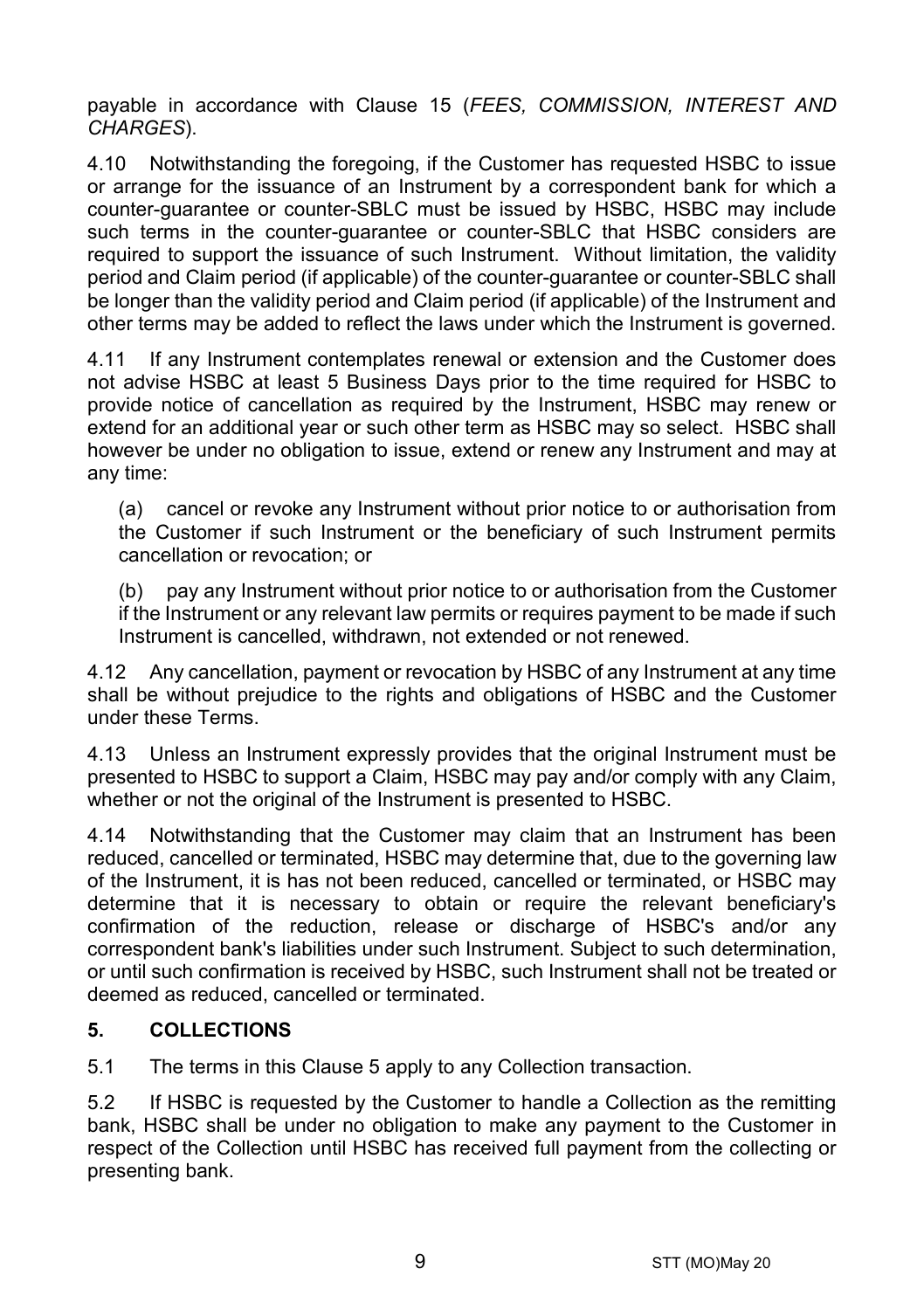payable in accordance with Clause [15](#page-16-0) (*[FEES, COMMISSION, INTEREST AND](#page-16-0)  [CHARGES](#page-16-0)*).

4.10 Notwithstanding the foregoing, if the Customer has requested HSBC to issue or arrange for the issuance of an Instrument by a correspondent bank for which a counter-guarantee or counter-SBLC must be issued by HSBC, HSBC may include such terms in the counter-guarantee or counter-SBLC that HSBC considers are required to support the issuance of such Instrument. Without limitation, the validity period and Claim period (if applicable) of the counter-guarantee or counter-SBLC shall be longer than the validity period and Claim period (if applicable) of the Instrument and other terms may be added to reflect the laws under which the Instrument is governed.

4.11 If any Instrument contemplates renewal or extension and the Customer does not advise HSBC at least 5 Business Days prior to the time required for HSBC to provide notice of cancellation as required by the Instrument, HSBC may renew or extend for an additional year or such other term as HSBC may so select. HSBC shall however be under no obligation to issue, extend or renew any Instrument and may at any time:

(a) cancel or revoke any Instrument without prior notice to or authorisation from the Customer if such Instrument or the beneficiary of such Instrument permits cancellation or revocation; or

(b) pay any Instrument without prior notice to or authorisation from the Customer if the Instrument or any relevant law permits or requires payment to be made if such Instrument is cancelled, withdrawn, not extended or not renewed.

4.12 Any cancellation, payment or revocation by HSBC of any Instrument at any time shall be without prejudice to the rights and obligations of HSBC and the Customer under these Terms.

4.13 Unless an Instrument expressly provides that the original Instrument must be presented to HSBC to support a Claim, HSBC may pay and/or comply with any Claim, whether or not the original of the Instrument is presented to HSBC.

4.14 Notwithstanding that the Customer may claim that an Instrument has been reduced, cancelled or terminated, HSBC may determine that, due to the governing law of the Instrument, it is has not been reduced, cancelled or terminated, or HSBC may determine that it is necessary to obtain or require the relevant beneficiary's confirmation of the reduction, release or discharge of HSBC's and/or any correspondent bank's liabilities under such Instrument. Subject to such determination, or until such confirmation is received by HSBC, such Instrument shall not be treated or deemed as reduced, cancelled or terminated.

# <span id="page-8-0"></span>**5. COLLECTIONS**

5.1 The terms in this Claus[e 5](#page-8-0) apply to any Collection transaction.

5.2 If HSBC is requested by the Customer to handle a Collection as the remitting bank, HSBC shall be under no obligation to make any payment to the Customer in respect of the Collection until HSBC has received full payment from the collecting or presenting bank.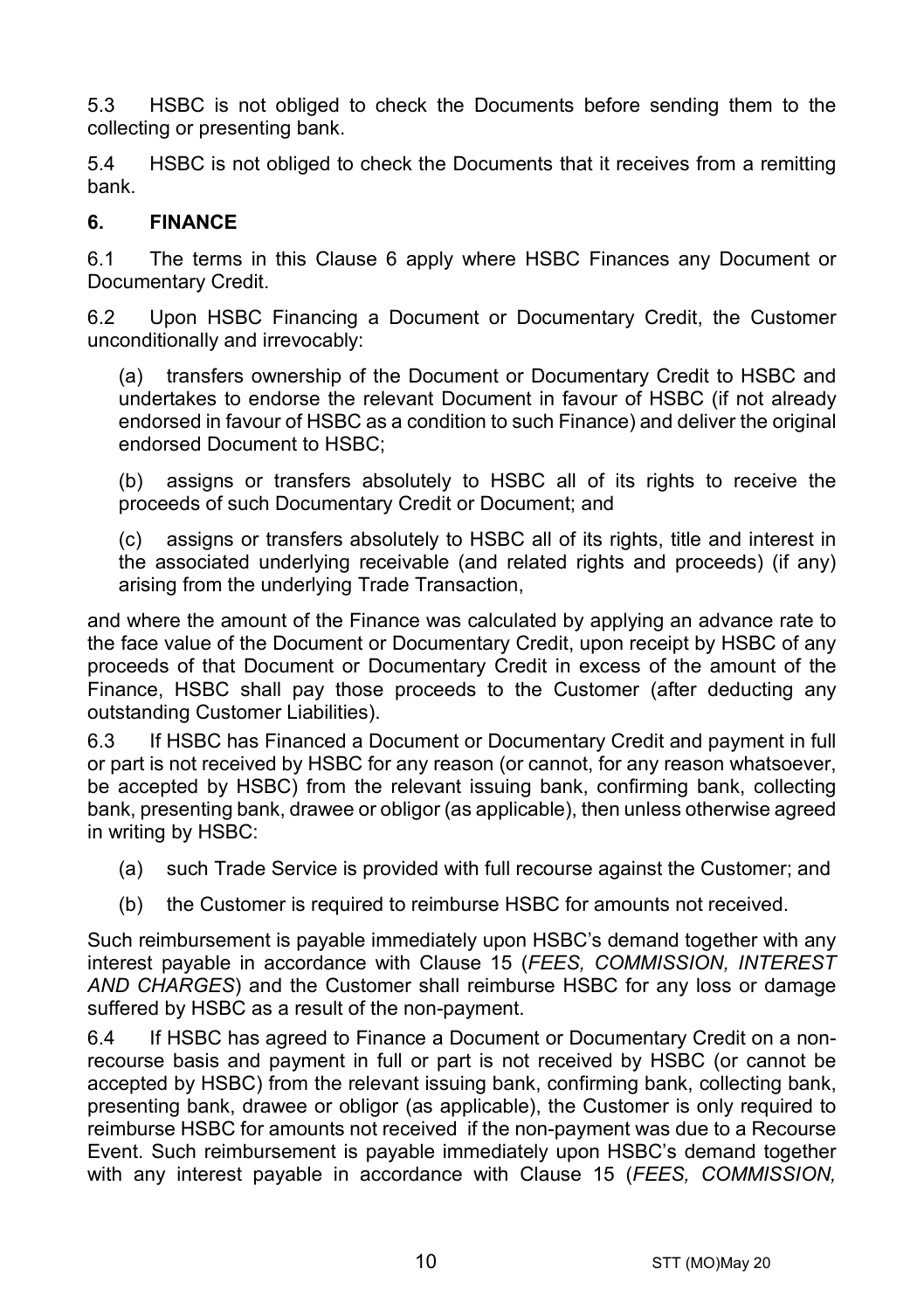5.3 HSBC is not obliged to check the Documents before sending them to the collecting or presenting bank.

5.4 HSBC is not obliged to check the Documents that it receives from a remitting bank.

#### <span id="page-9-0"></span>**6. FINANCE**

6.1 The terms in this Clause [6](#page-9-0) apply where HSBC Finances any Document or Documentary Credit.

6.2 Upon HSBC Financing a Document or Documentary Credit, the Customer unconditionally and irrevocably:

(a) transfers ownership of the Document or Documentary Credit to HSBC and undertakes to endorse the relevant Document in favour of HSBC (if not already endorsed in favour of HSBC as a condition to such Finance) and deliver the original endorsed Document to HSBC;

(b) assigns or transfers absolutely to HSBC all of its rights to receive the proceeds of such Documentary Credit or Document; and

(c) assigns or transfers absolutely to HSBC all of its rights, title and interest in the associated underlying receivable (and related rights and proceeds) (if any) arising from the underlying Trade Transaction,

and where the amount of the Finance was calculated by applying an advance rate to the face value of the Document or Documentary Credit, upon receipt by HSBC of any proceeds of that Document or Documentary Credit in excess of the amount of the Finance, HSBC shall pay those proceeds to the Customer (after deducting any outstanding Customer Liabilities).

6.3 If HSBC has Financed a Document or Documentary Credit and payment in full or part is not received by HSBC for any reason (or cannot, for any reason whatsoever, be accepted by HSBC) from the relevant issuing bank, confirming bank, collecting bank, presenting bank, drawee or obligor (as applicable), then unless otherwise agreed in writing by HSBC:

- (a) such Trade Service is provided with full recourse against the Customer; and
- (b) the Customer is required to reimburse HSBC for amounts not received.

Such reimbursement is payable immediately upon HSBC's demand together with any interest payable in accordance with Clause [15](#page-16-0) (*[FEES, COMMISSION, INTEREST](#page-16-0)  [AND CHARGES](#page-16-0)*) and the Customer shall reimburse HSBC for any loss or damage suffered by HSBC as a result of the non-payment.

6.4 If HSBC has agreed to Finance a Document or Documentary Credit on a nonrecourse basis and payment in full or part is not received by HSBC (or cannot be accepted by HSBC) from the relevant issuing bank, confirming bank, collecting bank, presenting bank, drawee or obligor (as applicable), the Customer is only required to reimburse HSBC for amounts not received if the non-payment was due to a Recourse Event. Such reimbursement is payable immediately upon HSBC's demand together with any interest payable in accordance with Clause [15](#page-16-0) (*[FEES, COMMISSION,](#page-16-0)*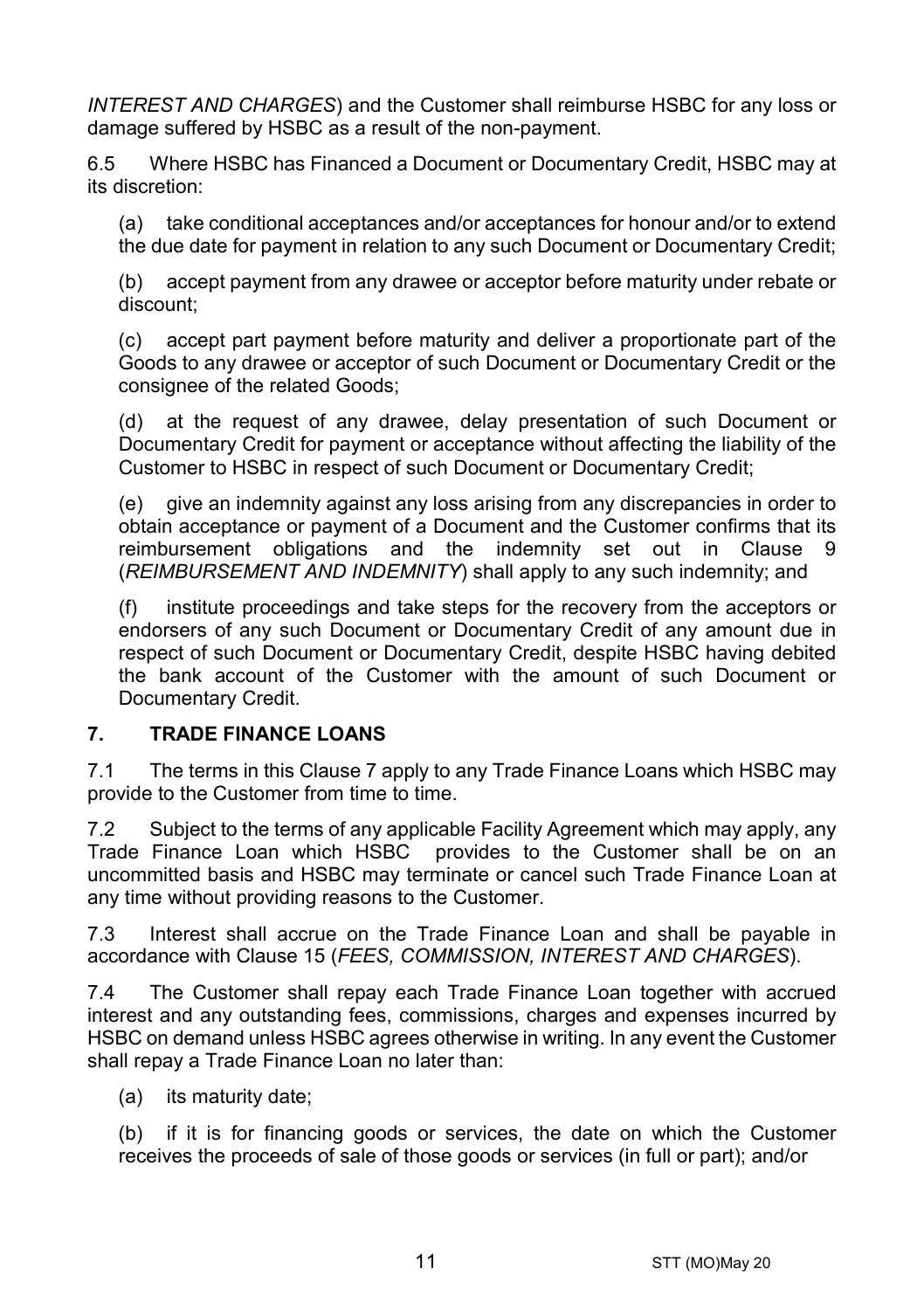*[INTEREST AND CHARGES](#page-16-0)*) and the Customer shall reimburse HSBC for any loss or damage suffered by HSBC as a result of the non-payment.

6.5 Where HSBC has Financed a Document or Documentary Credit, HSBC may at its discretion:

(a) take conditional acceptances and/or acceptances for honour and/or to extend the due date for payment in relation to any such Document or Documentary Credit;

(b) accept payment from any drawee or acceptor before maturity under rebate or discount;

(c) accept part payment before maturity and deliver a proportionate part of the Goods to any drawee or acceptor of such Document or Documentary Credit or the consignee of the related Goods;

(d) at the request of any drawee, delay presentation of such Document or Documentary Credit for payment or acceptance without affecting the liability of the Customer to HSBC in respect of such Document or Documentary Credit;

(e) give an indemnity against any loss arising from any discrepancies in order to obtain acceptance or payment of a Document and the Customer confirms that its reimbursement obligations and the indemnity set out in Clause [9](#page-13-0) (*[REIMBURSEMENT AND INDEMNITY](#page-13-0)*) shall apply to any such indemnity; and

(f) institute proceedings and take steps for the recovery from the acceptors or endorsers of any such Document or Documentary Credit of any amount due in respect of such Document or Documentary Credit, despite HSBC having debited the bank account of the Customer with the amount of such Document or Documentary Credit.

# <span id="page-10-0"></span>**7. TRADE FINANCE LOANS**

7.1 The terms in this Claus[e 7](#page-10-0) apply to any Trade Finance Loans which HSBC may provide to the Customer from time to time.

7.2 Subject to the terms of any applicable Facility Agreement which may apply, any Trade Finance Loan which HSBC provides to the Customer shall be on an uncommitted basis and HSBC may terminate or cancel such Trade Finance Loan at any time without providing reasons to the Customer.

7.3 Interest shall accrue on the Trade Finance Loan and shall be payable in accordance with Clause [15](#page-16-0) (*[FEES, COMMISSION, INTEREST AND CHARGES](#page-16-0)*).

7.4 The Customer shall repay each Trade Finance Loan together with accrued interest and any outstanding fees, commissions, charges and expenses incurred by HSBC on demand unless HSBC agrees otherwise in writing. In any event the Customer shall repay a Trade Finance Loan no later than:

(a) its maturity date;

(b) if it is for financing goods or services, the date on which the Customer receives the proceeds of sale of those goods or services (in full or part); and/or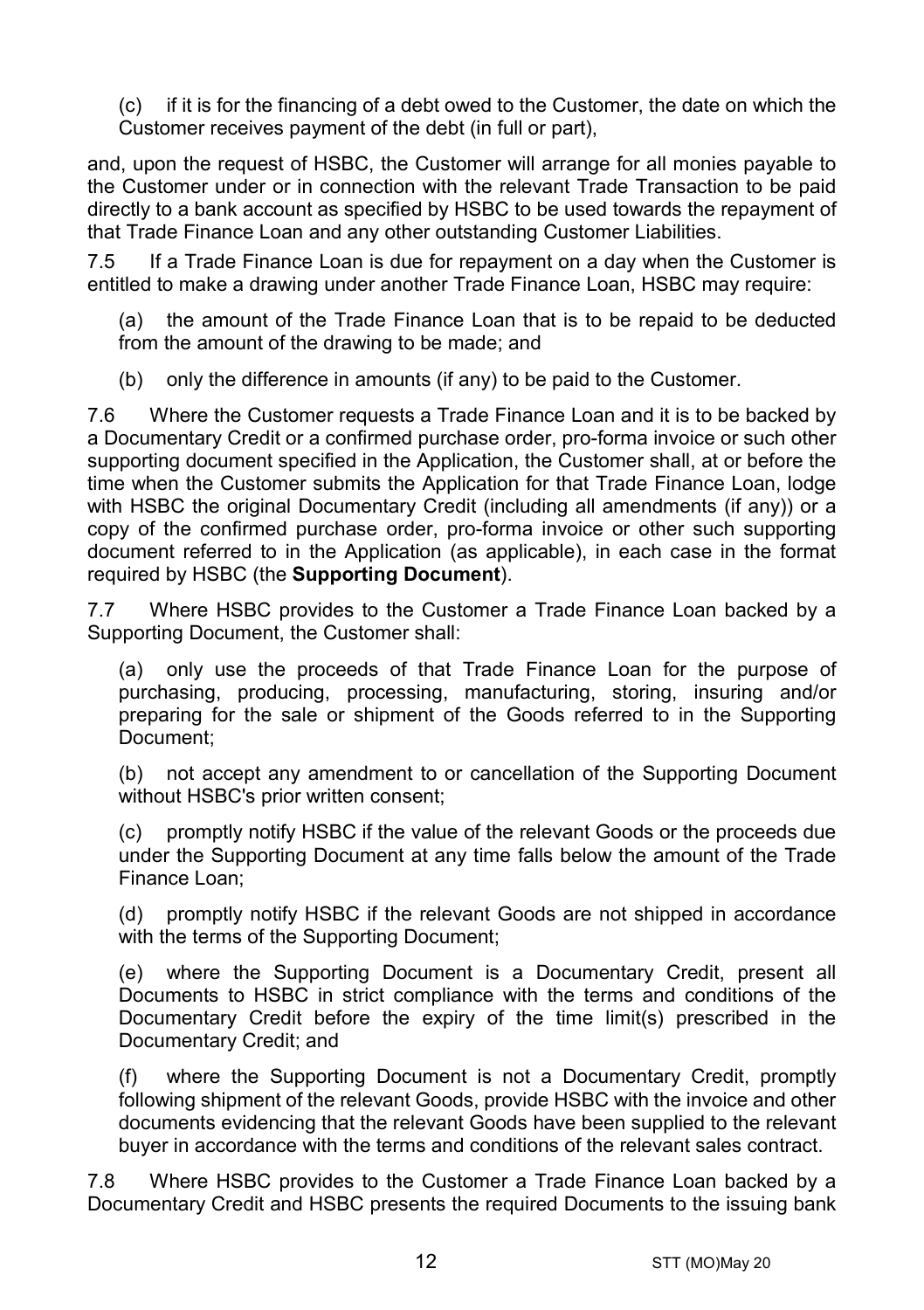(c) if it is for the financing of a debt owed to the Customer, the date on which the Customer receives payment of the debt (in full or part),

and, upon the request of HSBC, the Customer will arrange for all monies payable to the Customer under or in connection with the relevant Trade Transaction to be paid directly to a bank account as specified by HSBC to be used towards the repayment of that Trade Finance Loan and any other outstanding Customer Liabilities.

7.5 If a Trade Finance Loan is due for repayment on a day when the Customer is entitled to make a drawing under another Trade Finance Loan, HSBC may require:

(a) the amount of the Trade Finance Loan that is to be repaid to be deducted from the amount of the drawing to be made; and

(b) only the difference in amounts (if any) to be paid to the Customer.

7.6 Where the Customer requests a Trade Finance Loan and it is to be backed by a Documentary Credit or a confirmed purchase order, pro-forma invoice or such other supporting document specified in the Application, the Customer shall, at or before the time when the Customer submits the Application for that Trade Finance Loan, lodge with HSBC the original Documentary Credit (including all amendments (if any)) or a copy of the confirmed purchase order, pro-forma invoice or other such supporting document referred to in the Application (as applicable), in each case in the format required by HSBC (the **Supporting Document**).

7.7 Where HSBC provides to the Customer a Trade Finance Loan backed by a Supporting Document, the Customer shall:

(a) only use the proceeds of that Trade Finance Loan for the purpose of purchasing, producing, processing, manufacturing, storing, insuring and/or preparing for the sale or shipment of the Goods referred to in the Supporting Document;

(b) not accept any amendment to or cancellation of the Supporting Document without HSBC's prior written consent;

(c) promptly notify HSBC if the value of the relevant Goods or the proceeds due under the Supporting Document at any time falls below the amount of the Trade Finance Loan;

(d) promptly notify HSBC if the relevant Goods are not shipped in accordance with the terms of the Supporting Document;

(e) where the Supporting Document is a Documentary Credit, present all Documents to HSBC in strict compliance with the terms and conditions of the Documentary Credit before the expiry of the time limit(s) prescribed in the Documentary Credit; and

where the Supporting Document is not a Documentary Credit, promptly following shipment of the relevant Goods, provide HSBC with the invoice and other documents evidencing that the relevant Goods have been supplied to the relevant buyer in accordance with the terms and conditions of the relevant sales contract.

7.8 Where HSBC provides to the Customer a Trade Finance Loan backed by a Documentary Credit and HSBC presents the required Documents to the issuing bank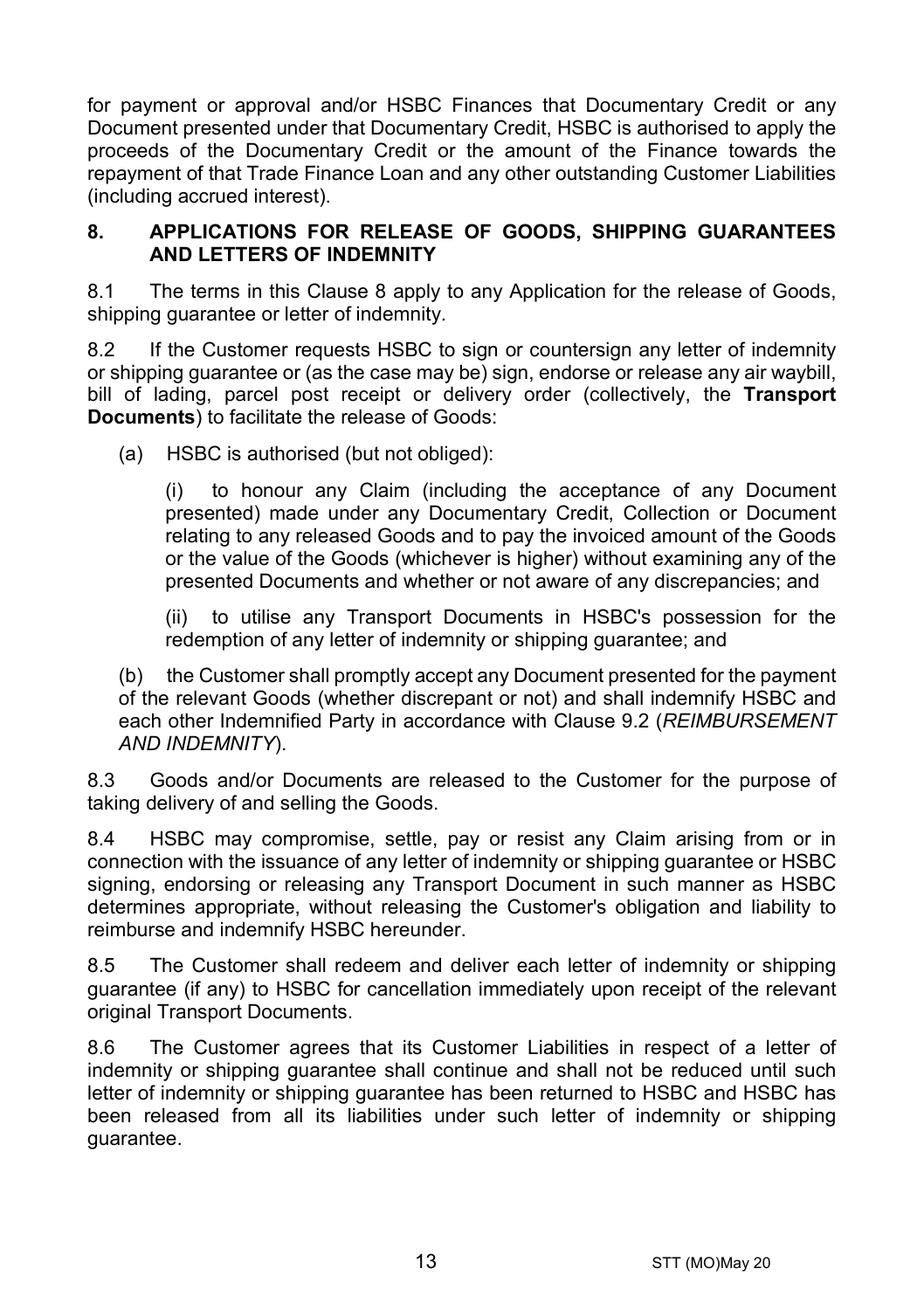for payment or approval and/or HSBC Finances that Documentary Credit or any Document presented under that Documentary Credit, HSBC is authorised to apply the proceeds of the Documentary Credit or the amount of the Finance towards the repayment of that Trade Finance Loan and any other outstanding Customer Liabilities (including accrued interest).

#### <span id="page-12-0"></span>**8. APPLICATIONS FOR RELEASE OF GOODS, SHIPPING GUARANTEES AND LETTERS OF INDEMNITY**

8.1 The terms in this Clause [8](#page-12-0) apply to any Application for the release of Goods, shipping guarantee or letter of indemnity.

8.2 If the Customer requests HSBC to sign or countersign any letter of indemnity or shipping guarantee or (as the case may be) sign, endorse or release any air waybill, bill of lading, parcel post receipt or delivery order (collectively, the **Transport Documents**) to facilitate the release of Goods:

(a) HSBC is authorised (but not obliged):

(i) to honour any Claim (including the acceptance of any Document presented) made under any Documentary Credit, Collection or Document relating to any released Goods and to pay the invoiced amount of the Goods or the value of the Goods (whichever is higher) without examining any of the presented Documents and whether or not aware of any discrepancies; and

(ii) to utilise any Transport Documents in HSBC's possession for the redemption of any letter of indemnity or shipping guarantee; and

(b) the Customer shall promptly accept any Document presented for the payment of the relevant Goods (whether discrepant or not) and shall indemnify HSBC and each other Indemnified Party in accordance with Clause [9.2](#page-13-1) (*[REIMBURSEMENT](#page-13-0)  [AND INDEMNITY](#page-13-0)*).

8.3 Goods and/or Documents are released to the Customer for the purpose of taking delivery of and selling the Goods.

8.4 HSBC may compromise, settle, pay or resist any Claim arising from or in connection with the issuance of any letter of indemnity or shipping guarantee or HSBC signing, endorsing or releasing any Transport Document in such manner as HSBC determines appropriate, without releasing the Customer's obligation and liability to reimburse and indemnify HSBC hereunder.

8.5 The Customer shall redeem and deliver each letter of indemnity or shipping guarantee (if any) to HSBC for cancellation immediately upon receipt of the relevant original Transport Documents.

8.6 The Customer agrees that its Customer Liabilities in respect of a letter of indemnity or shipping guarantee shall continue and shall not be reduced until such letter of indemnity or shipping guarantee has been returned to HSBC and HSBC has been released from all its liabilities under such letter of indemnity or shipping guarantee.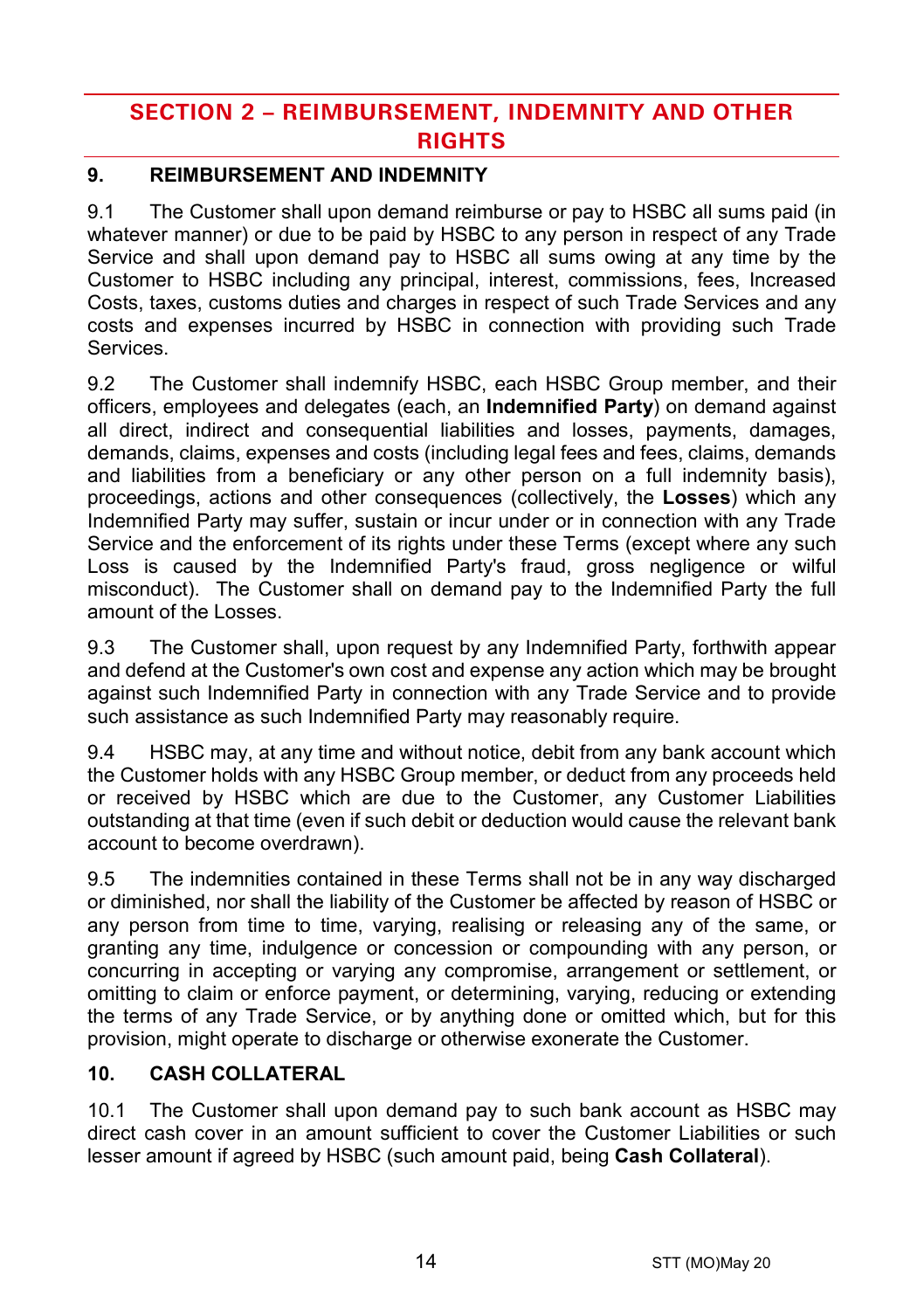# **SECTION 2 – REIMBURSEMENT, INDEMNITY AND OTHER RIGHTS**

# <span id="page-13-0"></span>**9. REIMBURSEMENT AND INDEMNITY**

9.1 The Customer shall upon demand reimburse or pay to HSBC all sums paid (in whatever manner) or due to be paid by HSBC to any person in respect of any Trade Service and shall upon demand pay to HSBC all sums owing at any time by the Customer to HSBC including any principal, interest, commissions, fees, Increased Costs, taxes, customs duties and charges in respect of such Trade Services and any costs and expenses incurred by HSBC in connection with providing such Trade Services.

<span id="page-13-1"></span>9.2 The Customer shall indemnify HSBC, each HSBC Group member, and their officers, employees and delegates (each, an **Indemnified Party**) on demand against all direct, indirect and consequential liabilities and losses, payments, damages, demands, claims, expenses and costs (including legal fees and fees, claims, demands and liabilities from a beneficiary or any other person on a full indemnity basis), proceedings, actions and other consequences (collectively, the **Losses**) which any Indemnified Party may suffer, sustain or incur under or in connection with any Trade Service and the enforcement of its rights under these Terms (except where any such Loss is caused by the Indemnified Party's fraud, gross negligence or wilful misconduct). The Customer shall on demand pay to the Indemnified Party the full amount of the Losses.

9.3 The Customer shall, upon request by any Indemnified Party, forthwith appear and defend at the Customer's own cost and expense any action which may be brought against such Indemnified Party in connection with any Trade Service and to provide such assistance as such Indemnified Party may reasonably require.

9.4 HSBC may, at any time and without notice, debit from any bank account which the Customer holds with any HSBC Group member, or deduct from any proceeds held or received by HSBC which are due to the Customer, any Customer Liabilities outstanding at that time (even if such debit or deduction would cause the relevant bank account to become overdrawn).

9.5 The indemnities contained in these Terms shall not be in any way discharged or diminished, nor shall the liability of the Customer be affected by reason of HSBC or any person from time to time, varying, realising or releasing any of the same, or granting any time, indulgence or concession or compounding with any person, or concurring in accepting or varying any compromise, arrangement or settlement, or omitting to claim or enforce payment, or determining, varying, reducing or extending the terms of any Trade Service, or by anything done or omitted which, but for this provision, might operate to discharge or otherwise exonerate the Customer.

# <span id="page-13-2"></span>**10. CASH COLLATERAL**

10.1 The Customer shall upon demand pay to such bank account as HSBC may direct cash cover in an amount sufficient to cover the Customer Liabilities or such lesser amount if agreed by HSBC (such amount paid, being **Cash Collateral**).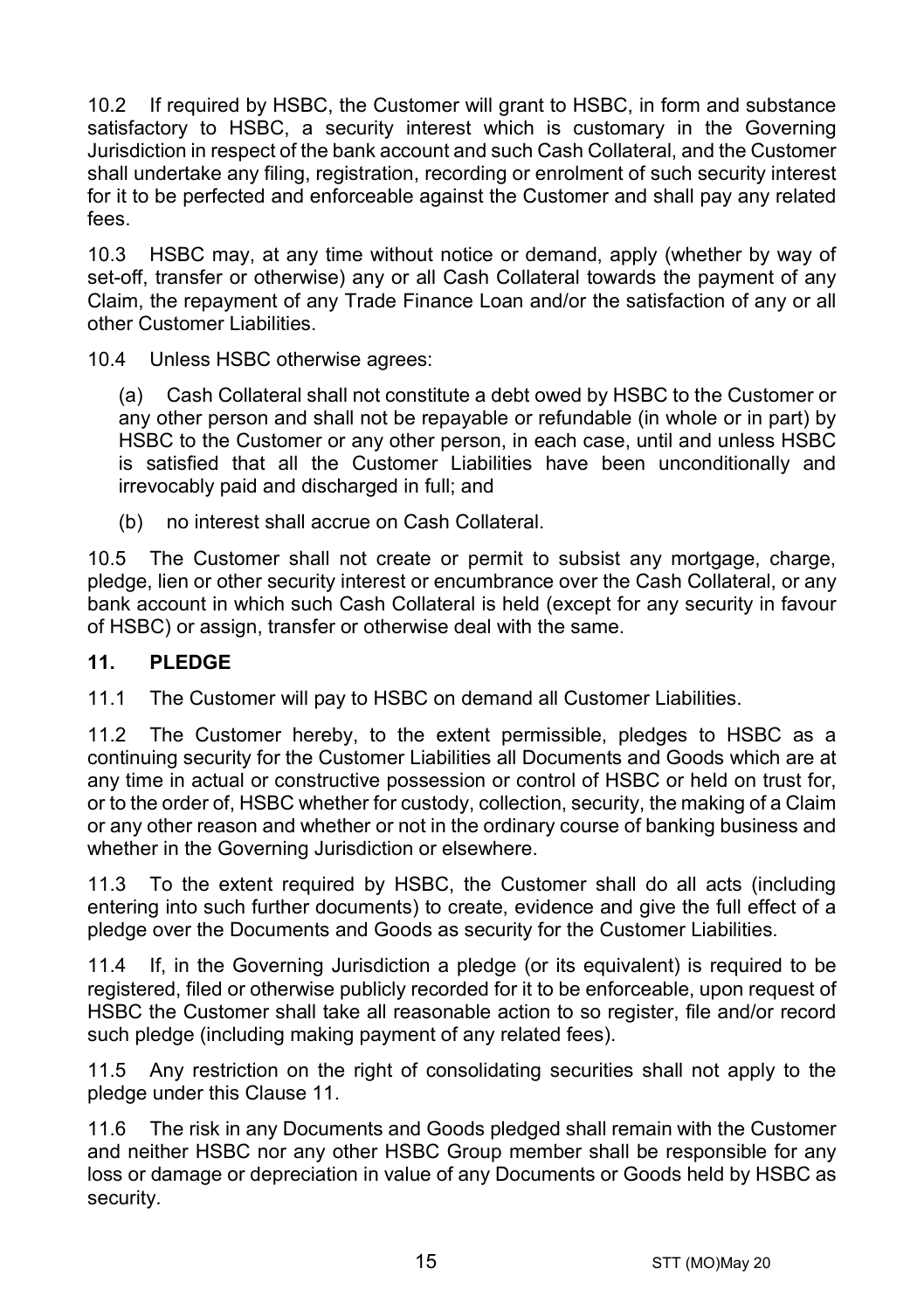10.2 If required by HSBC, the Customer will grant to HSBC, in form and substance satisfactory to HSBC, a security interest which is customary in the Governing Jurisdiction in respect of the bank account and such Cash Collateral, and the Customer shall undertake any filing, registration, recording or enrolment of such security interest for it to be perfected and enforceable against the Customer and shall pay any related fees.

10.3 HSBC may, at any time without notice or demand, apply (whether by way of set-off, transfer or otherwise) any or all Cash Collateral towards the payment of any Claim, the repayment of any Trade Finance Loan and/or the satisfaction of any or all other Customer Liabilities.

10.4 Unless HSBC otherwise agrees:

(a) Cash Collateral shall not constitute a debt owed by HSBC to the Customer or any other person and shall not be repayable or refundable (in whole or in part) by HSBC to the Customer or any other person, in each case, until and unless HSBC is satisfied that all the Customer Liabilities have been unconditionally and irrevocably paid and discharged in full; and

(b) no interest shall accrue on Cash Collateral.

10.5 The Customer shall not create or permit to subsist any mortgage, charge, pledge, lien or other security interest or encumbrance over the Cash Collateral, or any bank account in which such Cash Collateral is held (except for any security in favour of HSBC) or assign, transfer or otherwise deal with the same.

#### <span id="page-14-0"></span>**11. PLEDGE**

11.1 The Customer will pay to HSBC on demand all Customer Liabilities.

11.2 The Customer hereby, to the extent permissible, pledges to HSBC as a continuing security for the Customer Liabilities all Documents and Goods which are at any time in actual or constructive possession or control of HSBC or held on trust for, or to the order of, HSBC whether for custody, collection, security, the making of a Claim or any other reason and whether or not in the ordinary course of banking business and whether in the Governing Jurisdiction or elsewhere.

11.3 To the extent required by HSBC, the Customer shall do all acts (including entering into such further documents) to create, evidence and give the full effect of a pledge over the Documents and Goods as security for the Customer Liabilities.

11.4 If, in the Governing Jurisdiction a pledge (or its equivalent) is required to be registered, filed or otherwise publicly recorded for it to be enforceable, upon request of HSBC the Customer shall take all reasonable action to so register, file and/or record such pledge (including making payment of any related fees).

11.5 Any restriction on the right of consolidating securities shall not apply to the pledge under this Clause [11.](#page-14-0)

11.6 The risk in any Documents and Goods pledged shall remain with the Customer and neither HSBC nor any other HSBC Group member shall be responsible for any loss or damage or depreciation in value of any Documents or Goods held by HSBC as security.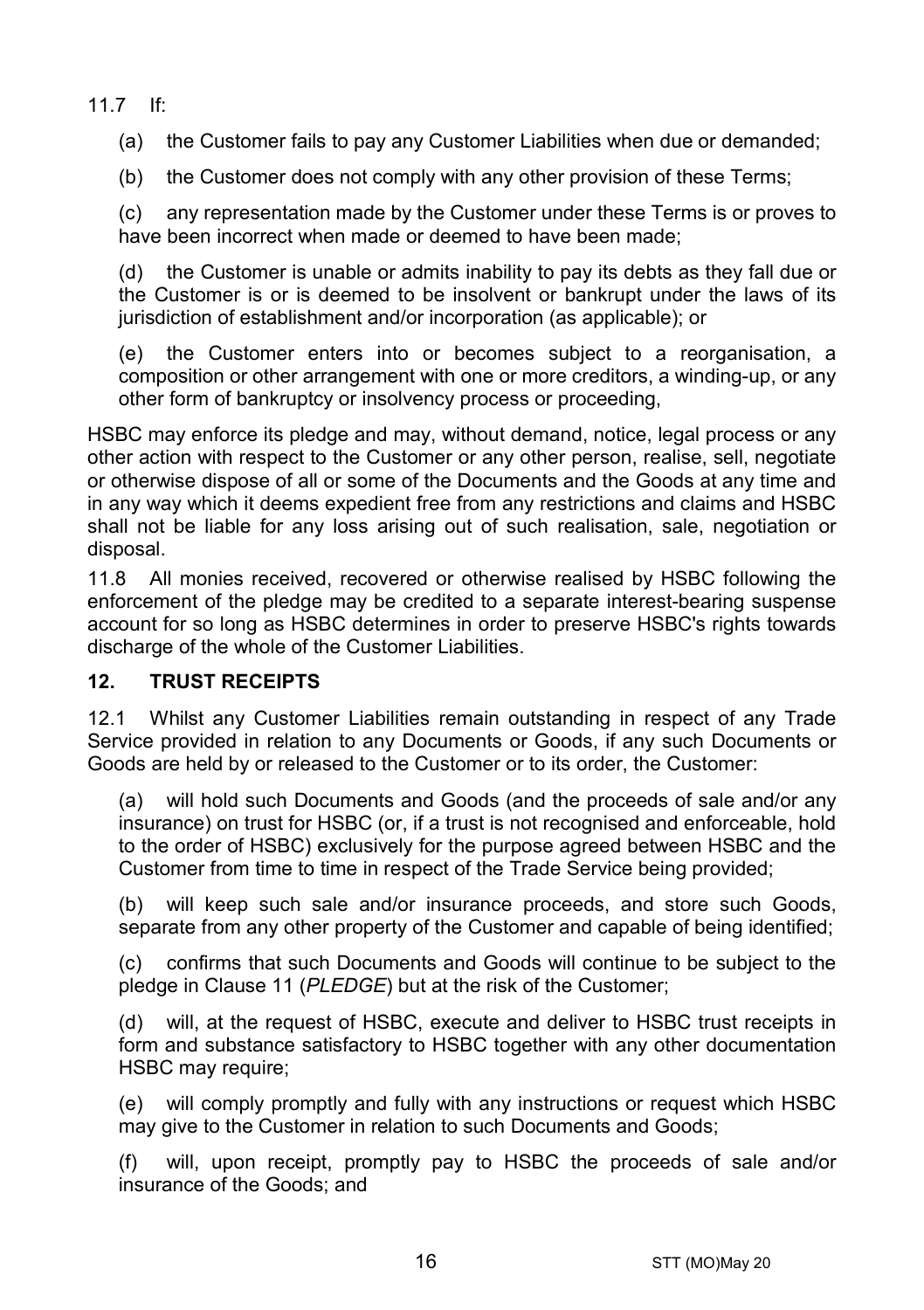11.7 If:

(a) the Customer fails to pay any Customer Liabilities when due or demanded;

(b) the Customer does not comply with any other provision of these Terms;

(c) any representation made by the Customer under these Terms is or proves to have been incorrect when made or deemed to have been made:

(d) the Customer is unable or admits inability to pay its debts as they fall due or the Customer is or is deemed to be insolvent or bankrupt under the laws of its jurisdiction of establishment and/or incorporation (as applicable); or

(e) the Customer enters into or becomes subject to a reorganisation, a composition or other arrangement with one or more creditors, a winding-up, or any other form of bankruptcy or insolvency process or proceeding,

HSBC may enforce its pledge and may, without demand, notice, legal process or any other action with respect to the Customer or any other person, realise, sell, negotiate or otherwise dispose of all or some of the Documents and the Goods at any time and in any way which it deems expedient free from any restrictions and claims and HSBC shall not be liable for any loss arising out of such realisation, sale, negotiation or disposal.

11.8 All monies received, recovered or otherwise realised by HSBC following the enforcement of the pledge may be credited to a separate interest-bearing suspense account for so long as HSBC determines in order to preserve HSBC's rights towards discharge of the whole of the Customer Liabilities.

## **12. TRUST RECEIPTS**

12.1 Whilst any Customer Liabilities remain outstanding in respect of any Trade Service provided in relation to any Documents or Goods, if any such Documents or Goods are held by or released to the Customer or to its order, the Customer:

(a) will hold such Documents and Goods (and the proceeds of sale and/or any insurance) on trust for HSBC (or, if a trust is not recognised and enforceable, hold to the order of HSBC) exclusively for the purpose agreed between HSBC and the Customer from time to time in respect of the Trade Service being provided;

(b) will keep such sale and/or insurance proceeds, and store such Goods, separate from any other property of the Customer and capable of being identified;

(c) confirms that such Documents and Goods will continue to be subject to the pledge in Claus[e 11](#page-14-0) (*[PLEDGE](#page-14-0)*) but at the risk of the Customer;

(d) will, at the request of HSBC, execute and deliver to HSBC trust receipts in form and substance satisfactory to HSBC together with any other documentation HSBC may require;

(e) will comply promptly and fully with any instructions or request which HSBC may give to the Customer in relation to such Documents and Goods;

(f) will, upon receipt, promptly pay to HSBC the proceeds of sale and/or insurance of the Goods; and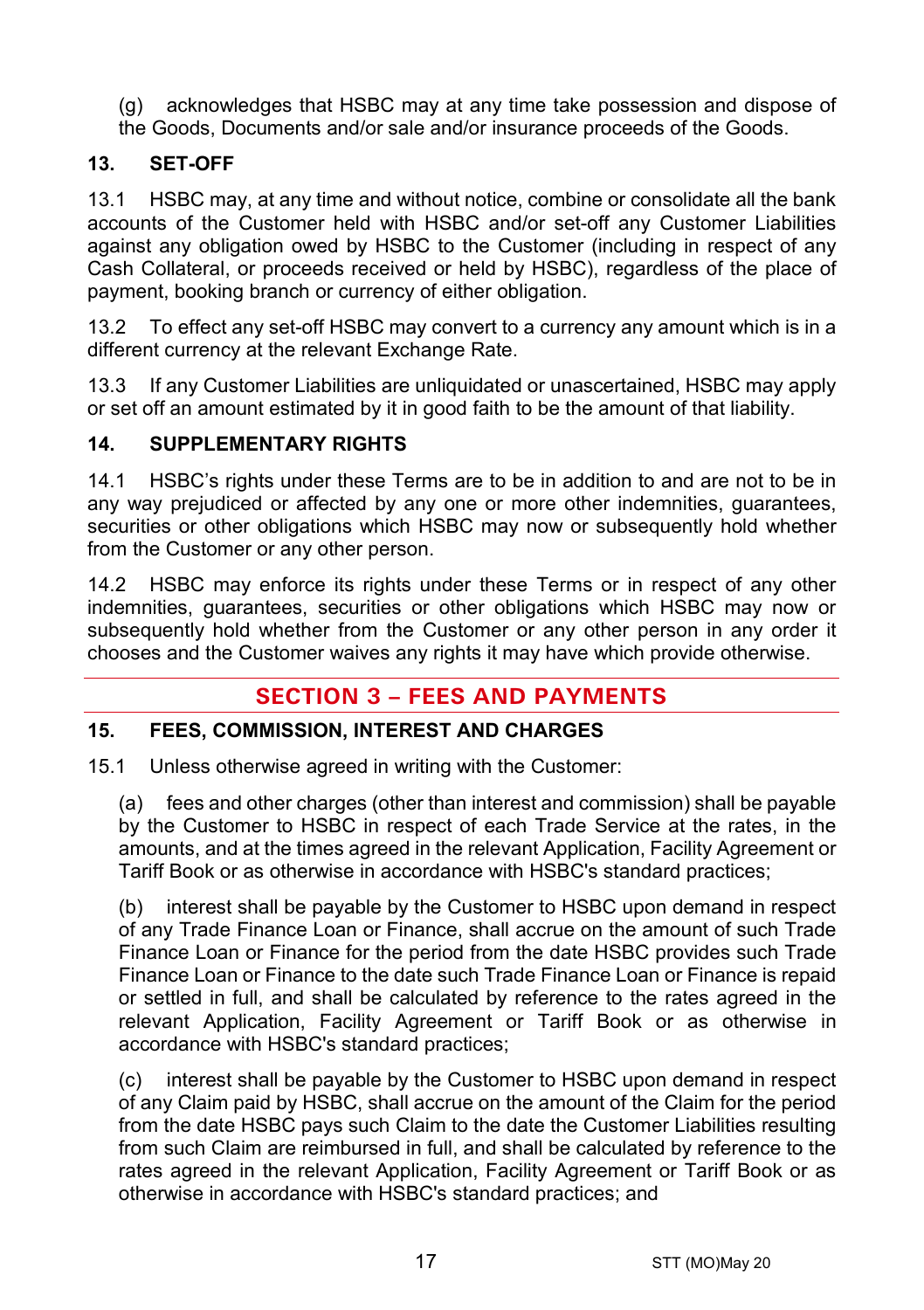- (g) acknowledges that HSBC may at any time take possession and dispose of
- the Goods, Documents and/or sale and/or insurance proceeds of the Goods.

# **13. SET-OFF**

13.1 HSBC may, at any time and without notice, combine or consolidate all the bank accounts of the Customer held with HSBC and/or set-off any Customer Liabilities against any obligation owed by HSBC to the Customer (including in respect of any Cash Collateral, or proceeds received or held by HSBC), regardless of the place of payment, booking branch or currency of either obligation.

13.2 To effect any set-off HSBC may convert to a currency any amount which is in a different currency at the relevant Exchange Rate.

13.3 If any Customer Liabilities are unliquidated or unascertained, HSBC may apply or set off an amount estimated by it in good faith to be the amount of that liability.

# **14. SUPPLEMENTARY RIGHTS**

14.1 HSBC's rights under these Terms are to be in addition to and are not to be in any way prejudiced or affected by any one or more other indemnities, guarantees, securities or other obligations which HSBC may now or subsequently hold whether from the Customer or any other person.

14.2 HSBC may enforce its rights under these Terms or in respect of any other indemnities, guarantees, securities or other obligations which HSBC may now or subsequently hold whether from the Customer or any other person in any order it chooses and the Customer waives any rights it may have which provide otherwise.

# **SECTION 3 – FEES AND PAYMENTS**

# <span id="page-16-0"></span>**15. FEES, COMMISSION, INTEREST AND CHARGES**

15.1 Unless otherwise agreed in writing with the Customer:

(a) fees and other charges (other than interest and commission) shall be payable by the Customer to HSBC in respect of each Trade Service at the rates, in the amounts, and at the times agreed in the relevant Application, Facility Agreement or Tariff Book or as otherwise in accordance with HSBC's standard practices;

(b) interest shall be payable by the Customer to HSBC upon demand in respect of any Trade Finance Loan or Finance, shall accrue on the amount of such Trade Finance Loan or Finance for the period from the date HSBC provides such Trade Finance Loan or Finance to the date such Trade Finance Loan or Finance is repaid or settled in full, and shall be calculated by reference to the rates agreed in the relevant Application, Facility Agreement or Tariff Book or as otherwise in accordance with HSBC's standard practices;

(c) interest shall be payable by the Customer to HSBC upon demand in respect of any Claim paid by HSBC, shall accrue on the amount of the Claim for the period from the date HSBC pays such Claim to the date the Customer Liabilities resulting from such Claim are reimbursed in full, and shall be calculated by reference to the rates agreed in the relevant Application, Facility Agreement or Tariff Book or as otherwise in accordance with HSBC's standard practices; and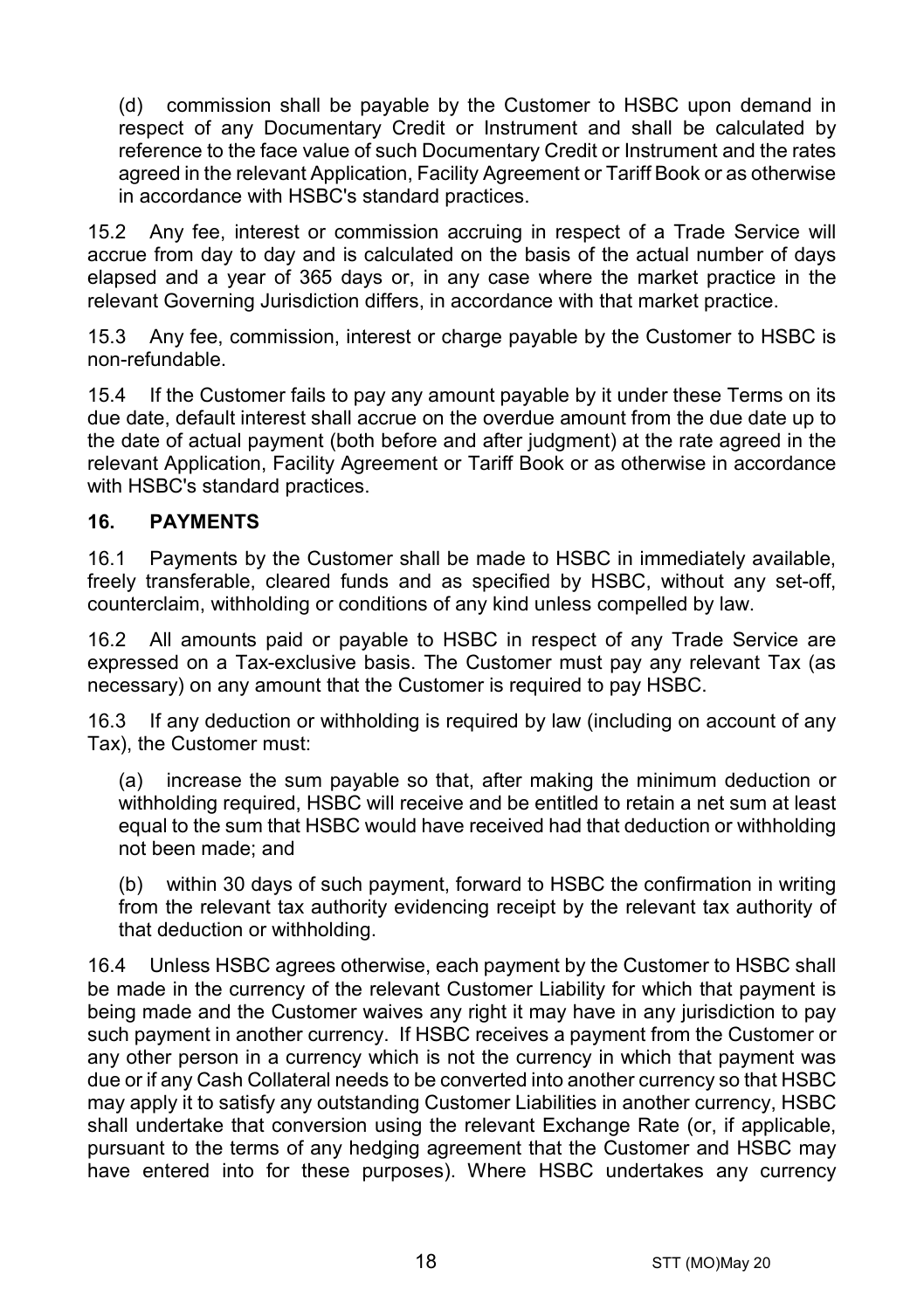(d) commission shall be payable by the Customer to HSBC upon demand in respect of any Documentary Credit or Instrument and shall be calculated by reference to the face value of such Documentary Credit or Instrument and the rates agreed in the relevant Application, Facility Agreement or Tariff Book or as otherwise in accordance with HSBC's standard practices.

15.2 Any fee, interest or commission accruing in respect of a Trade Service will accrue from day to day and is calculated on the basis of the actual number of days elapsed and a year of 365 days or, in any case where the market practice in the relevant Governing Jurisdiction differs, in accordance with that market practice.

15.3 Any fee, commission, interest or charge payable by the Customer to HSBC is non-refundable.

15.4 If the Customer fails to pay any amount payable by it under these Terms on its due date, default interest shall accrue on the overdue amount from the due date up to the date of actual payment (both before and after judgment) at the rate agreed in the relevant Application, Facility Agreement or Tariff Book or as otherwise in accordance with HSBC's standard practices.

# **16. PAYMENTS**

16.1 Payments by the Customer shall be made to HSBC in immediately available, freely transferable, cleared funds and as specified by HSBC, without any set-off, counterclaim, withholding or conditions of any kind unless compelled by law.

16.2 All amounts paid or payable to HSBC in respect of any Trade Service are expressed on a Tax-exclusive basis. The Customer must pay any relevant Tax (as necessary) on any amount that the Customer is required to pay HSBC.

16.3 If any deduction or withholding is required by law (including on account of any Tax), the Customer must:

(a) increase the sum payable so that, after making the minimum deduction or withholding required, HSBC will receive and be entitled to retain a net sum at least equal to the sum that HSBC would have received had that deduction or withholding not been made; and

(b) within 30 days of such payment, forward to HSBC the confirmation in writing from the relevant tax authority evidencing receipt by the relevant tax authority of that deduction or withholding.

16.4 Unless HSBC agrees otherwise, each payment by the Customer to HSBC shall be made in the currency of the relevant Customer Liability for which that payment is being made and the Customer waives any right it may have in any jurisdiction to pay such payment in another currency. If HSBC receives a payment from the Customer or any other person in a currency which is not the currency in which that payment was due or if any Cash Collateral needs to be converted into another currency so that HSBC may apply it to satisfy any outstanding Customer Liabilities in another currency, HSBC shall undertake that conversion using the relevant Exchange Rate (or, if applicable, pursuant to the terms of any hedging agreement that the Customer and HSBC may have entered into for these purposes). Where HSBC undertakes any currency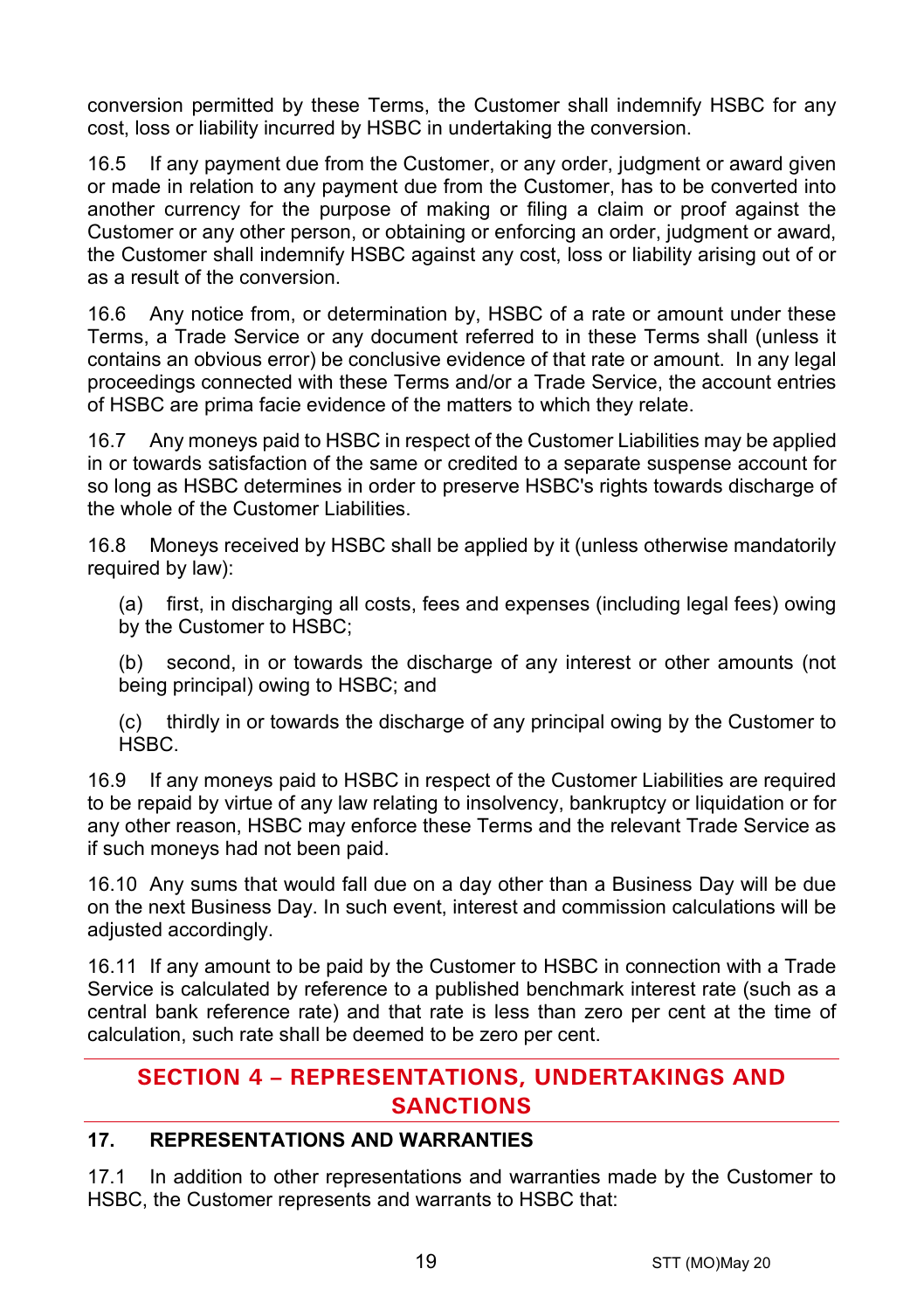conversion permitted by these Terms, the Customer shall indemnify HSBC for any cost, loss or liability incurred by HSBC in undertaking the conversion.

16.5 If any payment due from the Customer, or any order, judgment or award given or made in relation to any payment due from the Customer, has to be converted into another currency for the purpose of making or filing a claim or proof against the Customer or any other person, or obtaining or enforcing an order, judgment or award, the Customer shall indemnify HSBC against any cost, loss or liability arising out of or as a result of the conversion.

16.6 Any notice from, or determination by, HSBC of a rate or amount under these Terms, a Trade Service or any document referred to in these Terms shall (unless it contains an obvious error) be conclusive evidence of that rate or amount. In any legal proceedings connected with these Terms and/or a Trade Service, the account entries of HSBC are prima facie evidence of the matters to which they relate.

16.7 Any moneys paid to HSBC in respect of the Customer Liabilities may be applied in or towards satisfaction of the same or credited to a separate suspense account for so long as HSBC determines in order to preserve HSBC's rights towards discharge of the whole of the Customer Liabilities.

16.8 Moneys received by HSBC shall be applied by it (unless otherwise mandatorily required by law):

(a) first, in discharging all costs, fees and expenses (including legal fees) owing by the Customer to HSBC;

(b) second, in or towards the discharge of any interest or other amounts (not being principal) owing to HSBC; and

(c) thirdly in or towards the discharge of any principal owing by the Customer to HSBC.

16.9 If any moneys paid to HSBC in respect of the Customer Liabilities are required to be repaid by virtue of any law relating to insolvency, bankruptcy or liquidation or for any other reason, HSBC may enforce these Terms and the relevant Trade Service as if such moneys had not been paid.

16.10 Any sums that would fall due on a day other than a Business Day will be due on the next Business Day. In such event, interest and commission calculations will be adjusted accordingly.

16.11 If any amount to be paid by the Customer to HSBC in connection with a Trade Service is calculated by reference to a published benchmark interest rate (such as a central bank reference rate) and that rate is less than zero per cent at the time of calculation, such rate shall be deemed to be zero per cent.

# **SECTION 4 – REPRESENTATIONS, UNDERTAKINGS AND SANCTIONS**

## **17. REPRESENTATIONS AND WARRANTIES**

17.1 In addition to other representations and warranties made by the Customer to HSBC, the Customer represents and warrants to HSBC that: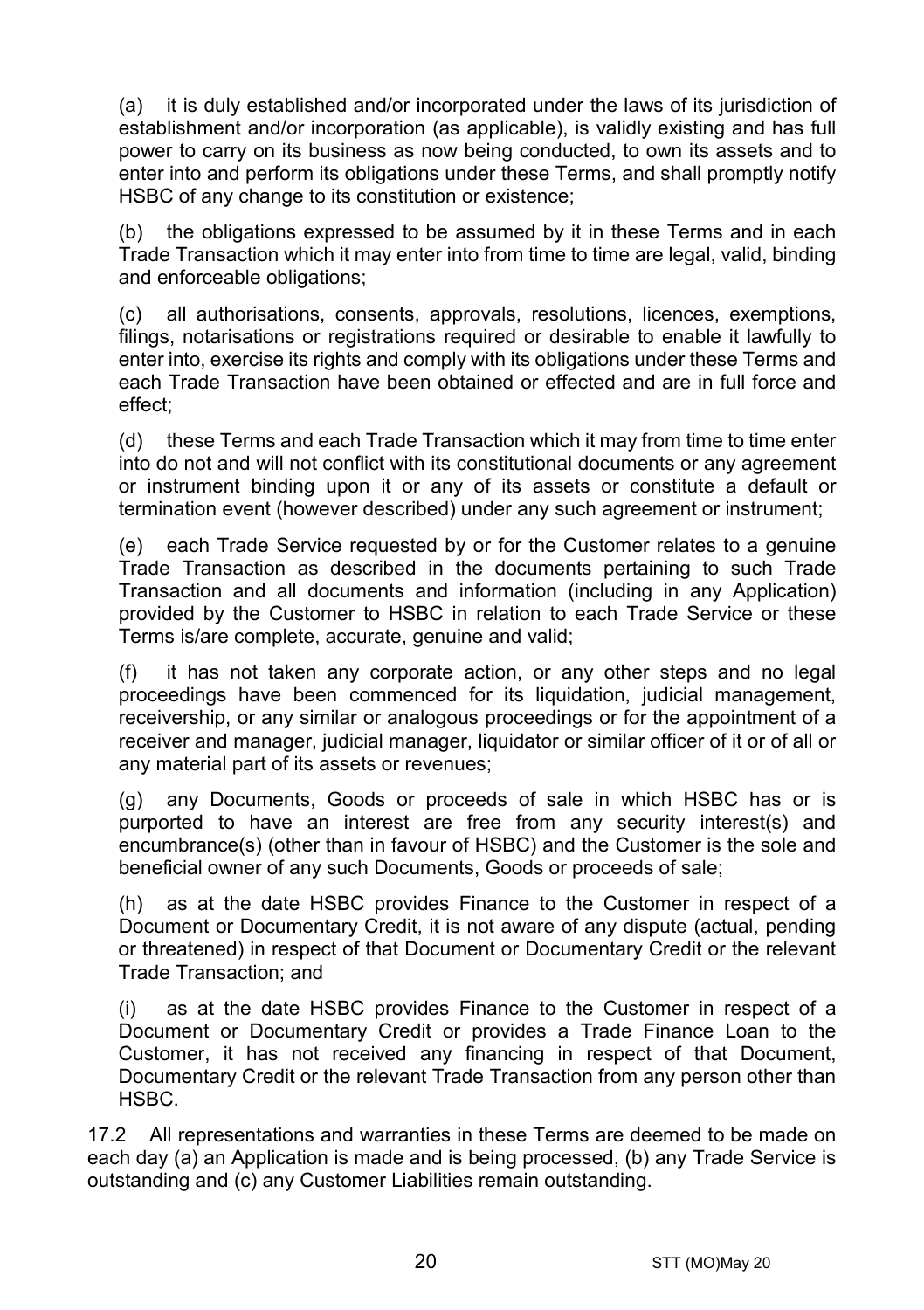(a) it is duly established and/or incorporated under the laws of its jurisdiction of establishment and/or incorporation (as applicable), is validly existing and has full power to carry on its business as now being conducted, to own its assets and to enter into and perform its obligations under these Terms, and shall promptly notify HSBC of any change to its constitution or existence;

(b) the obligations expressed to be assumed by it in these Terms and in each Trade Transaction which it may enter into from time to time are legal, valid, binding and enforceable obligations;

(c) all authorisations, consents, approvals, resolutions, licences, exemptions, filings, notarisations or registrations required or desirable to enable it lawfully to enter into, exercise its rights and comply with its obligations under these Terms and each Trade Transaction have been obtained or effected and are in full force and effect;

(d) these Terms and each Trade Transaction which it may from time to time enter into do not and will not conflict with its constitutional documents or any agreement or instrument binding upon it or any of its assets or constitute a default or termination event (however described) under any such agreement or instrument;

(e) each Trade Service requested by or for the Customer relates to a genuine Trade Transaction as described in the documents pertaining to such Trade Transaction and all documents and information (including in any Application) provided by the Customer to HSBC in relation to each Trade Service or these Terms is/are complete, accurate, genuine and valid;

(f) it has not taken any corporate action, or any other steps and no legal proceedings have been commenced for its liquidation, judicial management, receivership, or any similar or analogous proceedings or for the appointment of a receiver and manager, judicial manager, liquidator or similar officer of it or of all or any material part of its assets or revenues;

(g) any Documents, Goods or proceeds of sale in which HSBC has or is purported to have an interest are free from any security interest(s) and encumbrance(s) (other than in favour of HSBC) and the Customer is the sole and beneficial owner of any such Documents, Goods or proceeds of sale;

(h) as at the date HSBC provides Finance to the Customer in respect of a Document or Documentary Credit, it is not aware of any dispute (actual, pending or threatened) in respect of that Document or Documentary Credit or the relevant Trade Transaction; and

(i) as at the date HSBC provides Finance to the Customer in respect of a Document or Documentary Credit or provides a Trade Finance Loan to the Customer, it has not received any financing in respect of that Document, Documentary Credit or the relevant Trade Transaction from any person other than HSBC.

17.2 All representations and warranties in these Terms are deemed to be made on each day (a) an Application is made and is being processed, (b) any Trade Service is outstanding and (c) any Customer Liabilities remain outstanding.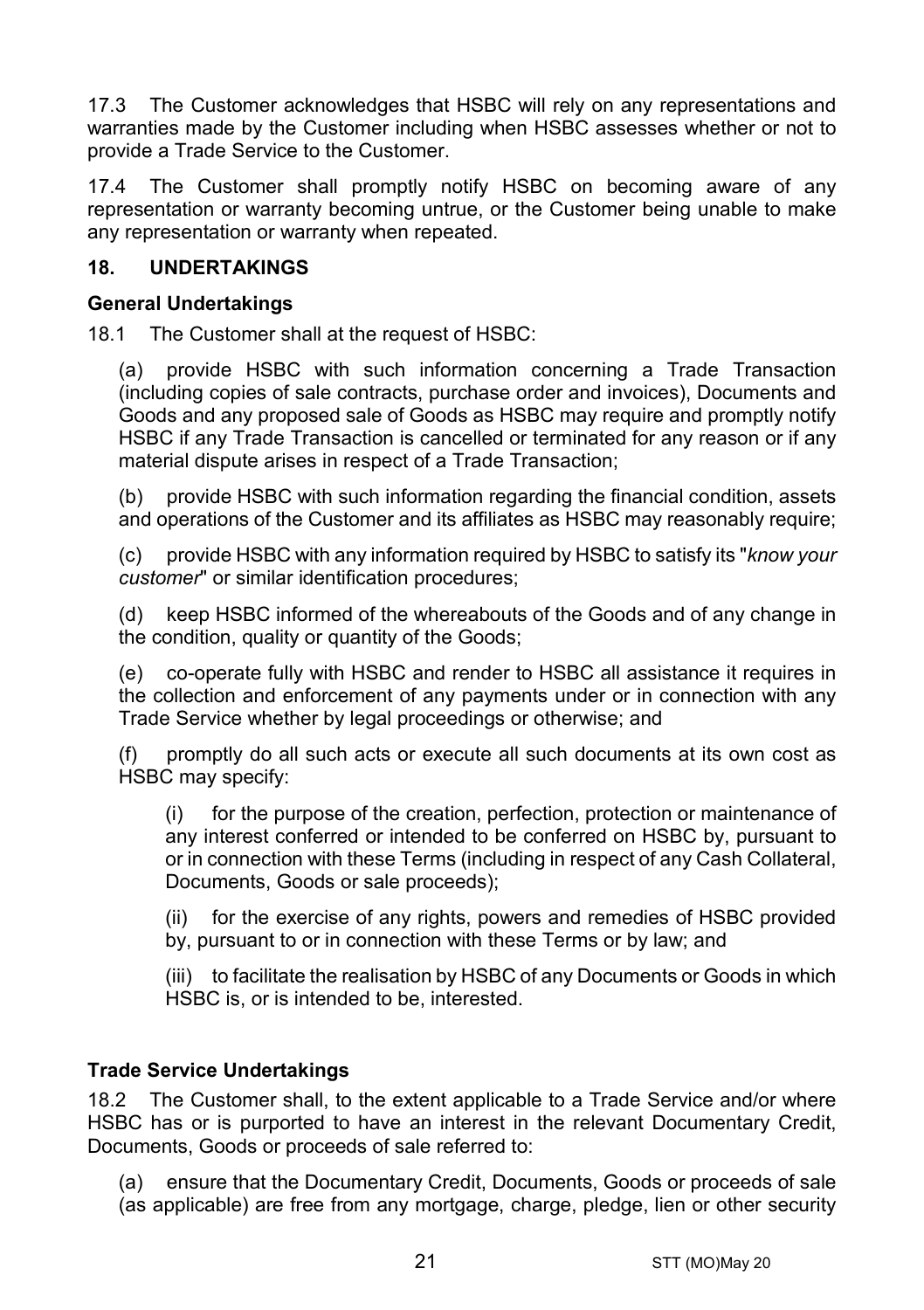17.3 The Customer acknowledges that HSBC will rely on any representations and warranties made by the Customer including when HSBC assesses whether or not to provide a Trade Service to the Customer.

17.4 The Customer shall promptly notify HSBC on becoming aware of any representation or warranty becoming untrue, or the Customer being unable to make any representation or warranty when repeated.

## **18. UNDERTAKINGS**

#### **General Undertakings**

18.1 The Customer shall at the request of HSBC:

(a) provide HSBC with such information concerning a Trade Transaction (including copies of sale contracts, purchase order and invoices), Documents and Goods and any proposed sale of Goods as HSBC may require and promptly notify HSBC if any Trade Transaction is cancelled or terminated for any reason or if any material dispute arises in respect of a Trade Transaction;

(b) provide HSBC with such information regarding the financial condition, assets and operations of the Customer and its affiliates as HSBC may reasonably require;

(c) provide HSBC with any information required by HSBC to satisfy its "*know your customer*" or similar identification procedures;

(d) keep HSBC informed of the whereabouts of the Goods and of any change in the condition, quality or quantity of the Goods;

(e) co-operate fully with HSBC and render to HSBC all assistance it requires in the collection and enforcement of any payments under or in connection with any Trade Service whether by legal proceedings or otherwise; and

(f) promptly do all such acts or execute all such documents at its own cost as HSBC may specify:

(i) for the purpose of the creation, perfection, protection or maintenance of any interest conferred or intended to be conferred on HSBC by, pursuant to or in connection with these Terms (including in respect of any Cash Collateral, Documents, Goods or sale proceeds);

(ii) for the exercise of any rights, powers and remedies of HSBC provided by, pursuant to or in connection with these Terms or by law; and

(iii) to facilitate the realisation by HSBC of any Documents or Goods in which HSBC is, or is intended to be, interested.

## **Trade Service Undertakings**

18.2 The Customer shall, to the extent applicable to a Trade Service and/or where HSBC has or is purported to have an interest in the relevant Documentary Credit, Documents, Goods or proceeds of sale referred to:

(a) ensure that the Documentary Credit, Documents, Goods or proceeds of sale (as applicable) are free from any mortgage, charge, pledge, lien or other security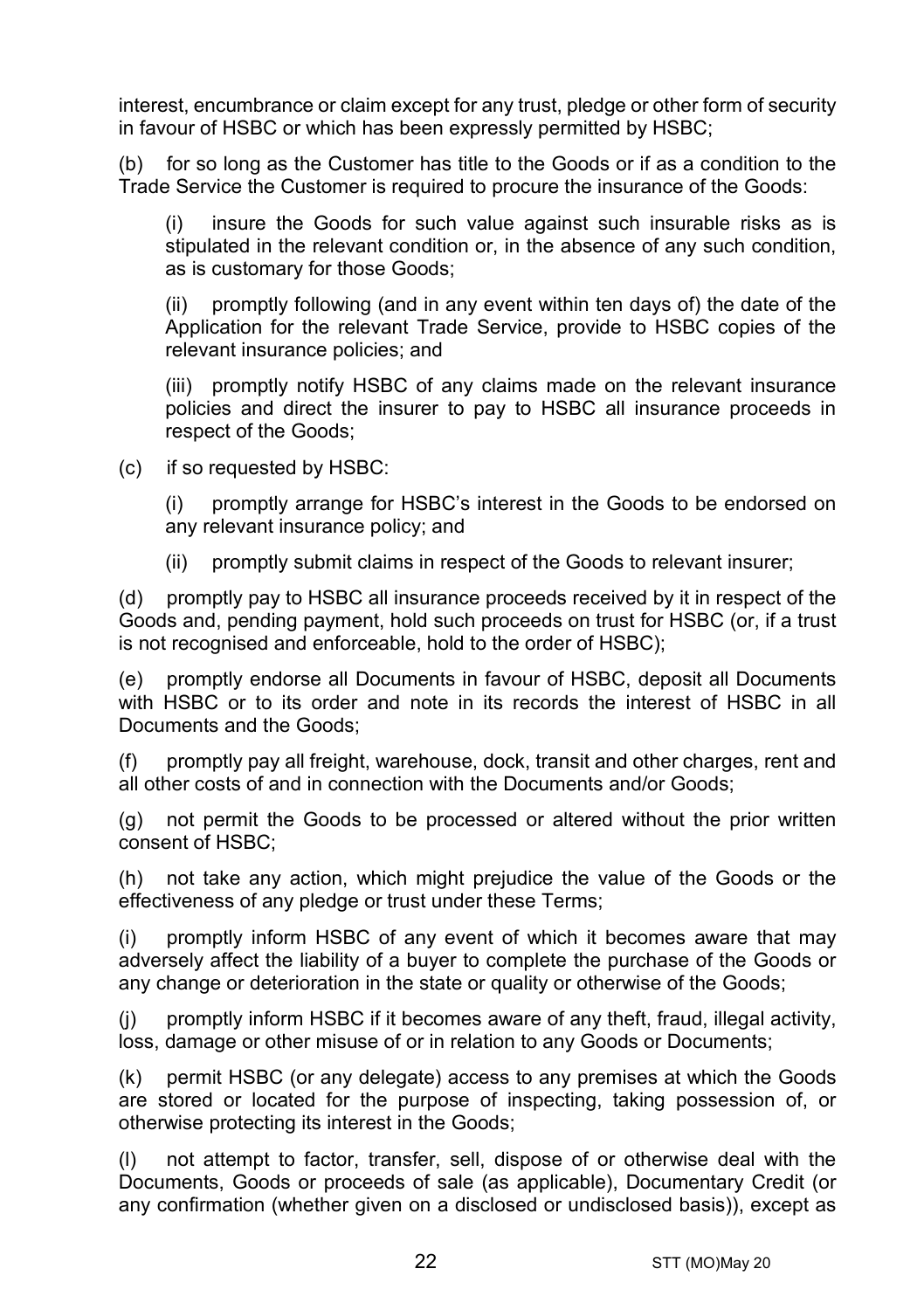interest, encumbrance or claim except for any trust, pledge or other form of security in favour of HSBC or which has been expressly permitted by HSBC;

(b) for so long as the Customer has title to the Goods or if as a condition to the Trade Service the Customer is required to procure the insurance of the Goods:

(i) insure the Goods for such value against such insurable risks as is stipulated in the relevant condition or, in the absence of any such condition, as is customary for those Goods;

(ii) promptly following (and in any event within ten days of) the date of the Application for the relevant Trade Service, provide to HSBC copies of the relevant insurance policies; and

(iii) promptly notify HSBC of any claims made on the relevant insurance policies and direct the insurer to pay to HSBC all insurance proceeds in respect of the Goods;

(c) if so requested by HSBC:

(i) promptly arrange for HSBC's interest in the Goods to be endorsed on any relevant insurance policy; and

(ii) promptly submit claims in respect of the Goods to relevant insurer;

(d) promptly pay to HSBC all insurance proceeds received by it in respect of the Goods and, pending payment, hold such proceeds on trust for HSBC (or, if a trust is not recognised and enforceable, hold to the order of HSBC);

(e) promptly endorse all Documents in favour of HSBC, deposit all Documents with HSBC or to its order and note in its records the interest of HSBC in all Documents and the Goods;

promptly pay all freight, warehouse, dock, transit and other charges, rent and all other costs of and in connection with the Documents and/or Goods;

(g) not permit the Goods to be processed or altered without the prior written consent of HSBC;

(h) not take any action, which might prejudice the value of the Goods or the effectiveness of any pledge or trust under these Terms;

(i) promptly inform HSBC of any event of which it becomes aware that may adversely affect the liability of a buyer to complete the purchase of the Goods or any change or deterioration in the state or quality or otherwise of the Goods;

(j) promptly inform HSBC if it becomes aware of any theft, fraud, illegal activity, loss, damage or other misuse of or in relation to any Goods or Documents;

(k) permit HSBC (or any delegate) access to any premises at which the Goods are stored or located for the purpose of inspecting, taking possession of, or otherwise protecting its interest in the Goods;

(l) not attempt to factor, transfer, sell, dispose of or otherwise deal with the Documents, Goods or proceeds of sale (as applicable), Documentary Credit (or any confirmation (whether given on a disclosed or undisclosed basis)), except as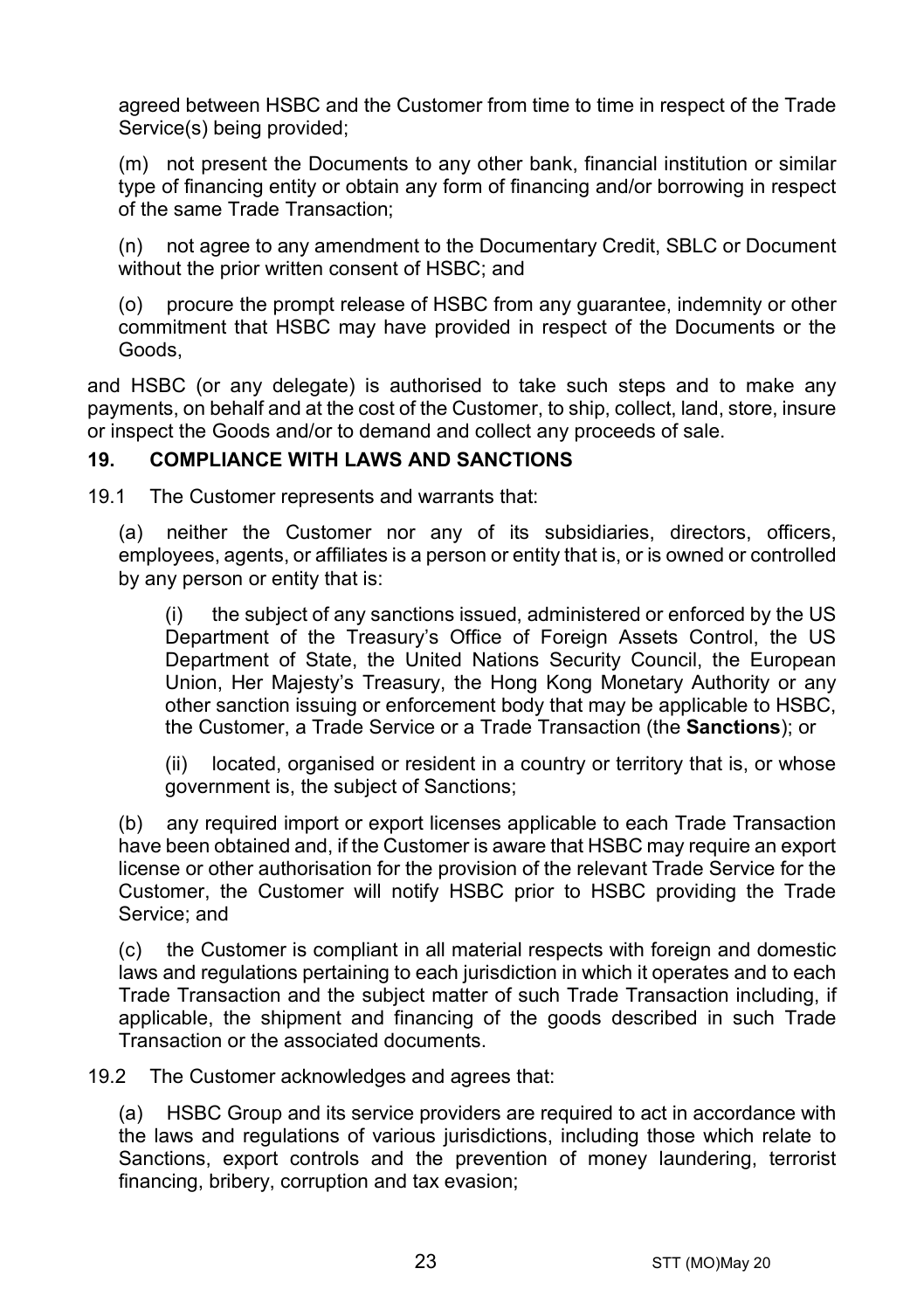agreed between HSBC and the Customer from time to time in respect of the Trade Service(s) being provided;

(m) not present the Documents to any other bank, financial institution or similar type of financing entity or obtain any form of financing and/or borrowing in respect of the same Trade Transaction;

(n) not agree to any amendment to the Documentary Credit, SBLC or Document without the prior written consent of HSBC; and

(o) procure the prompt release of HSBC from any guarantee, indemnity or other commitment that HSBC may have provided in respect of the Documents or the Goods,

and HSBC (or any delegate) is authorised to take such steps and to make any payments, on behalf and at the cost of the Customer, to ship, collect, land, store, insure or inspect the Goods and/or to demand and collect any proceeds of sale.

## <span id="page-22-0"></span>**19. COMPLIANCE WITH LAWS AND SANCTIONS**

19.1 The Customer represents and warrants that:

(a) neither the Customer nor any of its subsidiaries, directors, officers, employees, agents, or affiliates is a person or entity that is, or is owned or controlled by any person or entity that is:

(i) the subject of any sanctions issued, administered or enforced by the US Department of the Treasury's Office of Foreign Assets Control, the US Department of State, the United Nations Security Council, the European Union, Her Majesty's Treasury, the Hong Kong Monetary Authority or any other sanction issuing or enforcement body that may be applicable to HSBC, the Customer, a Trade Service or a Trade Transaction (the **Sanctions**); or

(ii) located, organised or resident in a country or territory that is, or whose government is, the subject of Sanctions;

(b) any required import or export licenses applicable to each Trade Transaction have been obtained and, if the Customer is aware that HSBC may require an export license or other authorisation for the provision of the relevant Trade Service for the Customer, the Customer will notify HSBC prior to HSBC providing the Trade Service; and

(c) the Customer is compliant in all material respects with foreign and domestic laws and regulations pertaining to each jurisdiction in which it operates and to each Trade Transaction and the subject matter of such Trade Transaction including, if applicable, the shipment and financing of the goods described in such Trade Transaction or the associated documents.

19.2 The Customer acknowledges and agrees that:

(a) HSBC Group and its service providers are required to act in accordance with the laws and regulations of various jurisdictions, including those which relate to Sanctions, export controls and the prevention of money laundering, terrorist financing, bribery, corruption and tax evasion;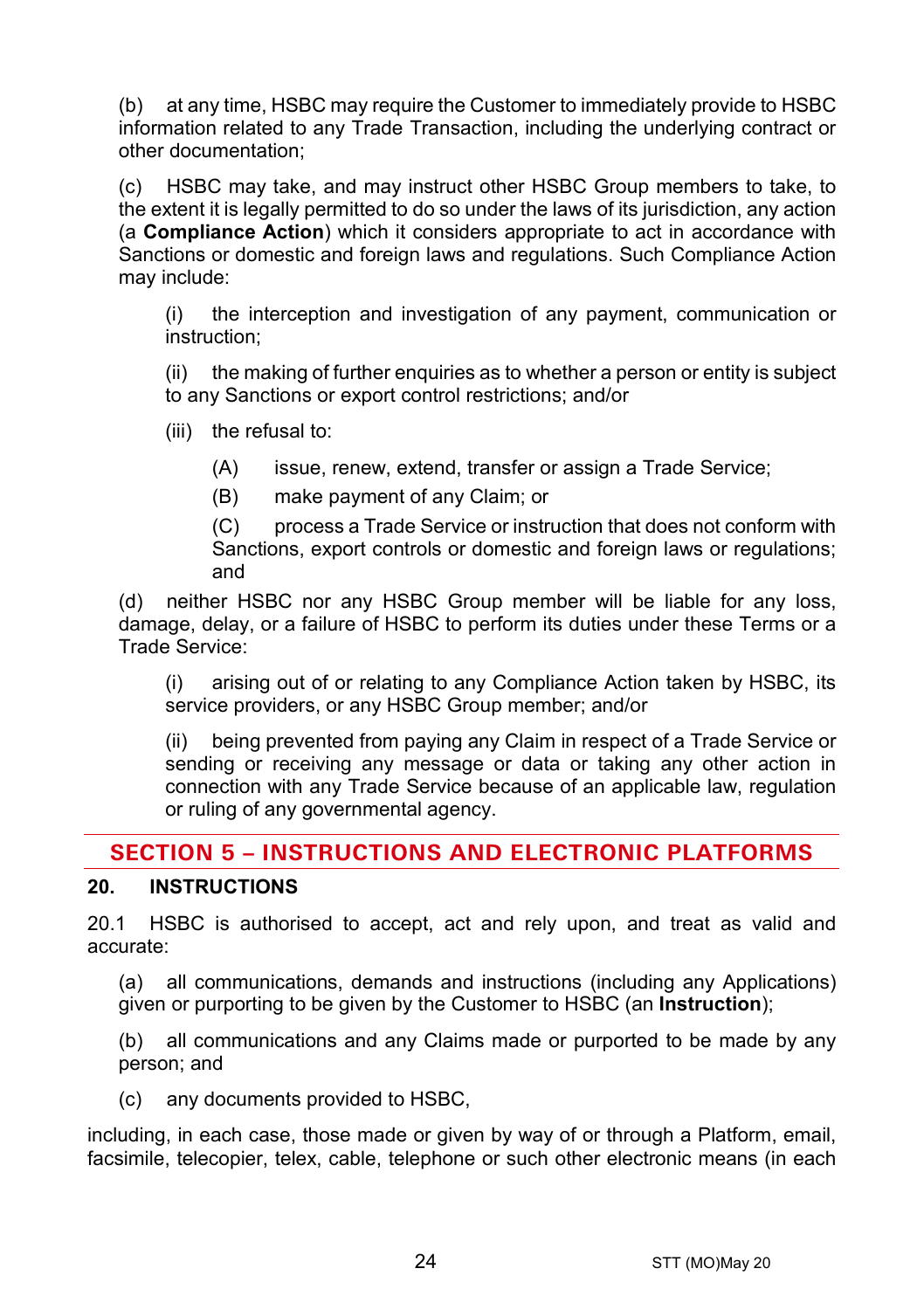(b) at any time, HSBC may require the Customer to immediately provide to HSBC information related to any Trade Transaction, including the underlying contract or other documentation;

(c) HSBC may take, and may instruct other HSBC Group members to take, to the extent it is legally permitted to do so under the laws of its jurisdiction, any action (a **Compliance Action**) which it considers appropriate to act in accordance with Sanctions or domestic and foreign laws and regulations. Such Compliance Action may include:

(i) the interception and investigation of any payment, communication or instruction;

(ii) the making of further enquiries as to whether a person or entity is subject to any Sanctions or export control restrictions; and/or

(iii) the refusal to:

(A) issue, renew, extend, transfer or assign a Trade Service;

(B) make payment of any Claim; or

(C) process a Trade Service or instruction that does not conform with Sanctions, export controls or domestic and foreign laws or regulations; and

(d) neither HSBC nor any HSBC Group member will be liable for any loss, damage, delay, or a failure of HSBC to perform its duties under these Terms or a Trade Service:

(i) arising out of or relating to any Compliance Action taken by HSBC, its service providers, or any HSBC Group member; and/or

(ii) being prevented from paying any Claim in respect of a Trade Service or sending or receiving any message or data or taking any other action in connection with any Trade Service because of an applicable law, regulation or ruling of any governmental agency.

# **SECTION 5 – INSTRUCTIONS AND ELECTRONIC PLATFORMS**

# <span id="page-23-0"></span>**20. INSTRUCTIONS**

20.1 HSBC is authorised to accept, act and rely upon, and treat as valid and accurate:

(a) all communications, demands and instructions (including any Applications) given or purporting to be given by the Customer to HSBC (an **Instruction**);

(b) all communications and any Claims made or purported to be made by any person; and

(c) any documents provided to HSBC,

including, in each case, those made or given by way of or through a Platform, email, facsimile, telecopier, telex, cable, telephone or such other electronic means (in each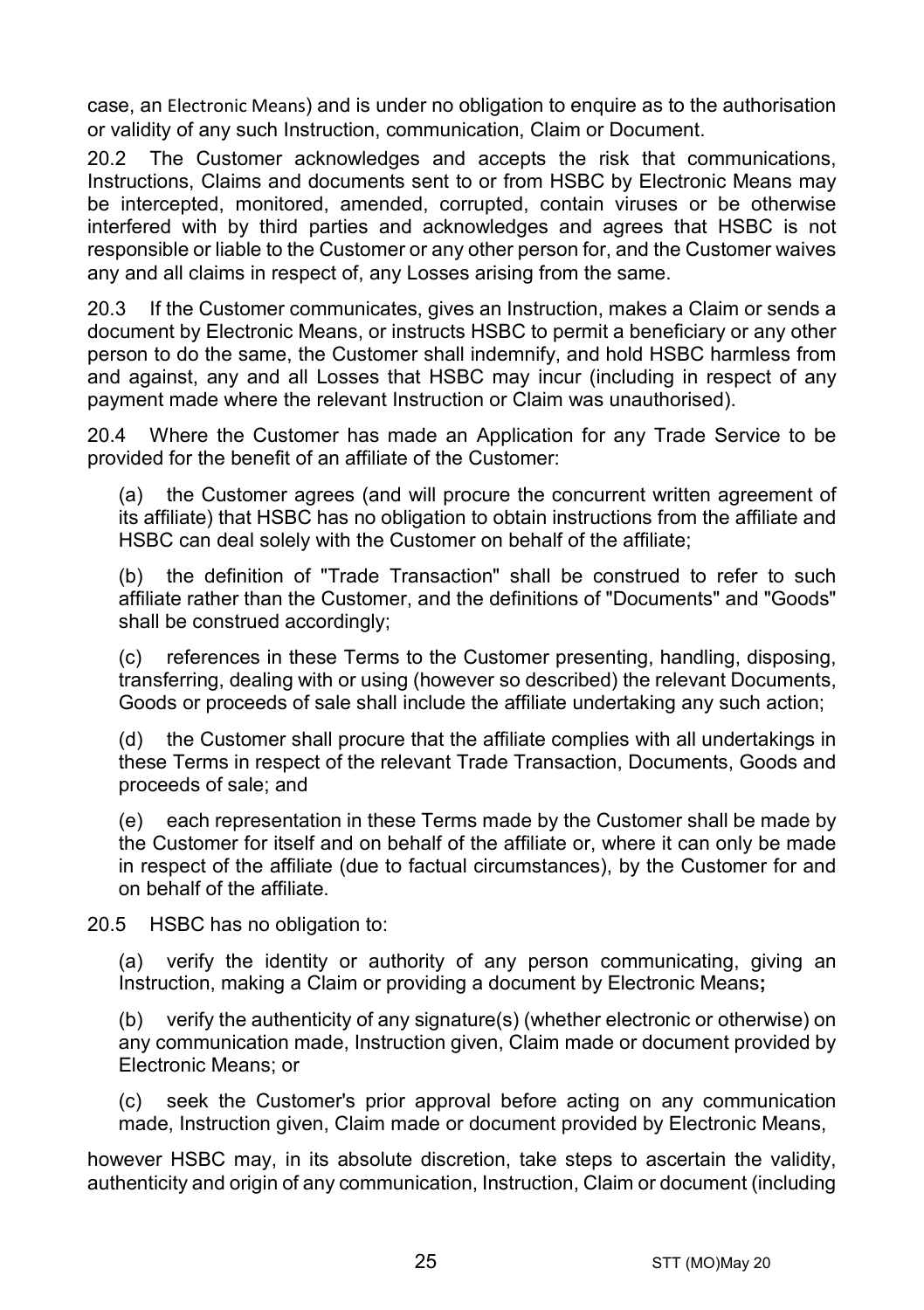case, an Electronic Means) and is under no obligation to enquire as to the authorisation or validity of any such Instruction, communication, Claim or Document.

20.2 The Customer acknowledges and accepts the risk that communications, Instructions, Claims and documents sent to or from HSBC by Electronic Means may be intercepted, monitored, amended, corrupted, contain viruses or be otherwise interfered with by third parties and acknowledges and agrees that HSBC is not responsible or liable to the Customer or any other person for, and the Customer waives any and all claims in respect of, any Losses arising from the same.

20.3 If the Customer communicates, gives an Instruction, makes a Claim or sends a document by Electronic Means, or instructs HSBC to permit a beneficiary or any other person to do the same, the Customer shall indemnify, and hold HSBC harmless from and against, any and all Losses that HSBC may incur (including in respect of any payment made where the relevant Instruction or Claim was unauthorised).

20.4 Where the Customer has made an Application for any Trade Service to be provided for the benefit of an affiliate of the Customer:

(a) the Customer agrees (and will procure the concurrent written agreement of its affiliate) that HSBC has no obligation to obtain instructions from the affiliate and HSBC can deal solely with the Customer on behalf of the affiliate;

(b) the definition of "Trade Transaction" shall be construed to refer to such affiliate rather than the Customer, and the definitions of "Documents" and "Goods" shall be construed accordingly;

(c) references in these Terms to the Customer presenting, handling, disposing, transferring, dealing with or using (however so described) the relevant Documents, Goods or proceeds of sale shall include the affiliate undertaking any such action;

(d) the Customer shall procure that the affiliate complies with all undertakings in these Terms in respect of the relevant Trade Transaction, Documents, Goods and proceeds of sale; and

(e) each representation in these Terms made by the Customer shall be made by the Customer for itself and on behalf of the affiliate or, where it can only be made in respect of the affiliate (due to factual circumstances), by the Customer for and on behalf of the affiliate.

20.5 HSBC has no obligation to:

(a) verify the identity or authority of any person communicating, giving an Instruction, making a Claim or providing a document by Electronic Means**;**

(b) verify the authenticity of any signature(s) (whether electronic or otherwise) on any communication made, Instruction given, Claim made or document provided by Electronic Means; or

(c) seek the Customer's prior approval before acting on any communication made, Instruction given, Claim made or document provided by Electronic Means,

however HSBC may, in its absolute discretion, take steps to ascertain the validity, authenticity and origin of any communication, Instruction, Claim or document (including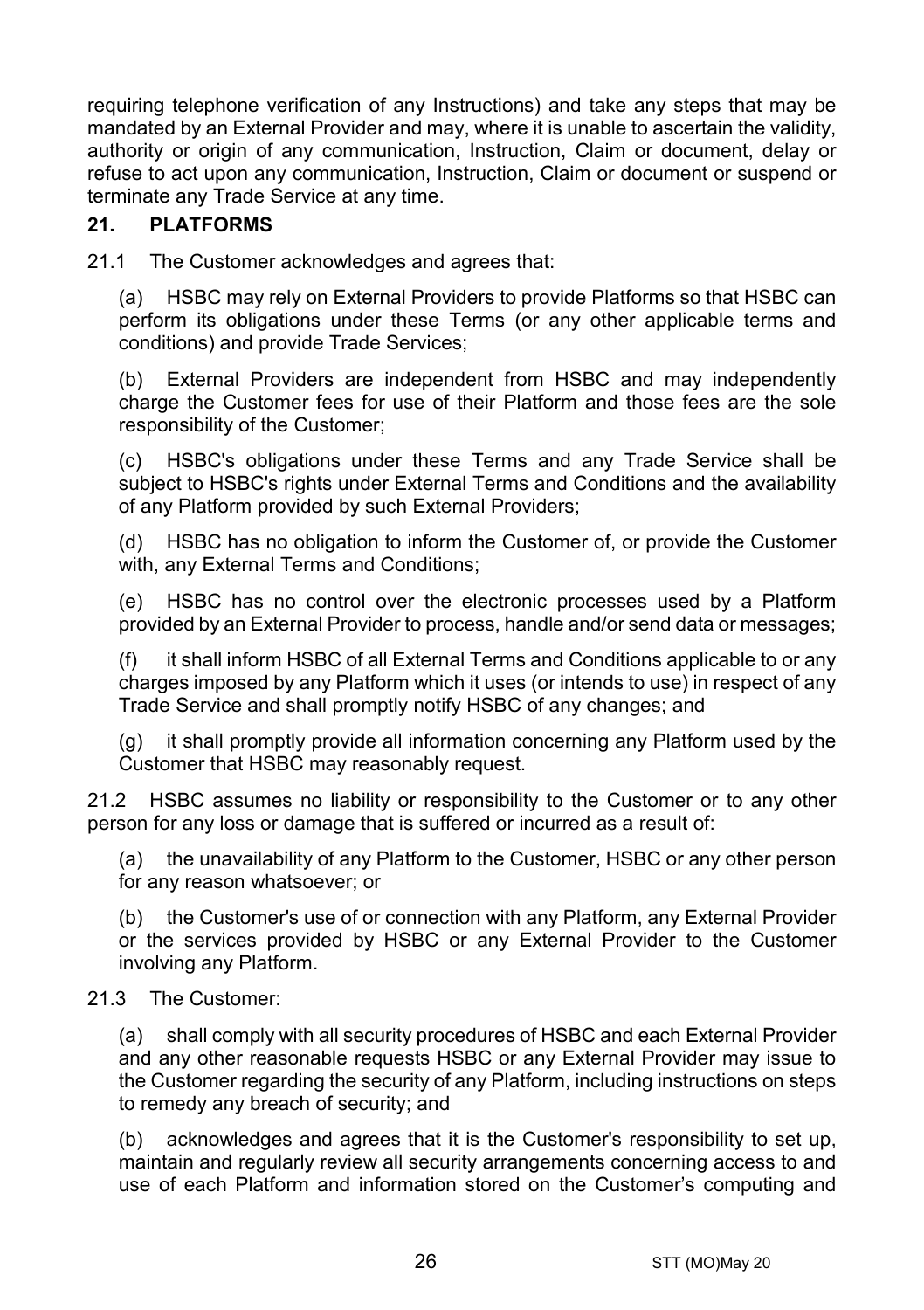requiring telephone verification of any Instructions) and take any steps that may be mandated by an External Provider and may, where it is unable to ascertain the validity, authority or origin of any communication, Instruction, Claim or document, delay or refuse to act upon any communication, Instruction, Claim or document or suspend or terminate any Trade Service at any time.

# **21. PLATFORMS**

21.1 The Customer acknowledges and agrees that:

(a) HSBC may rely on External Providers to provide Platforms so that HSBC can perform its obligations under these Terms (or any other applicable terms and conditions) and provide Trade Services;

(b) External Providers are independent from HSBC and may independently charge the Customer fees for use of their Platform and those fees are the sole responsibility of the Customer;

(c) HSBC's obligations under these Terms and any Trade Service shall be subject to HSBC's rights under External Terms and Conditions and the availability of any Platform provided by such External Providers;

(d) HSBC has no obligation to inform the Customer of, or provide the Customer with, any External Terms and Conditions;

(e) HSBC has no control over the electronic processes used by a Platform provided by an External Provider to process, handle and/or send data or messages;

(f) it shall inform HSBC of all External Terms and Conditions applicable to or any charges imposed by any Platform which it uses (or intends to use) in respect of any Trade Service and shall promptly notify HSBC of any changes; and

(g) it shall promptly provide all information concerning any Platform used by the Customer that HSBC may reasonably request.

21.2 HSBC assumes no liability or responsibility to the Customer or to any other person for any loss or damage that is suffered or incurred as a result of:

(a) the unavailability of any Platform to the Customer, HSBC or any other person for any reason whatsoever; or

(b) the Customer's use of or connection with any Platform, any External Provider or the services provided by HSBC or any External Provider to the Customer involving any Platform.

#### 21.3 The Customer:

(a) shall comply with all security procedures of HSBC and each External Provider and any other reasonable requests HSBC or any External Provider may issue to the Customer regarding the security of any Platform, including instructions on steps to remedy any breach of security; and

(b) acknowledges and agrees that it is the Customer's responsibility to set up, maintain and regularly review all security arrangements concerning access to and use of each Platform and information stored on the Customer's computing and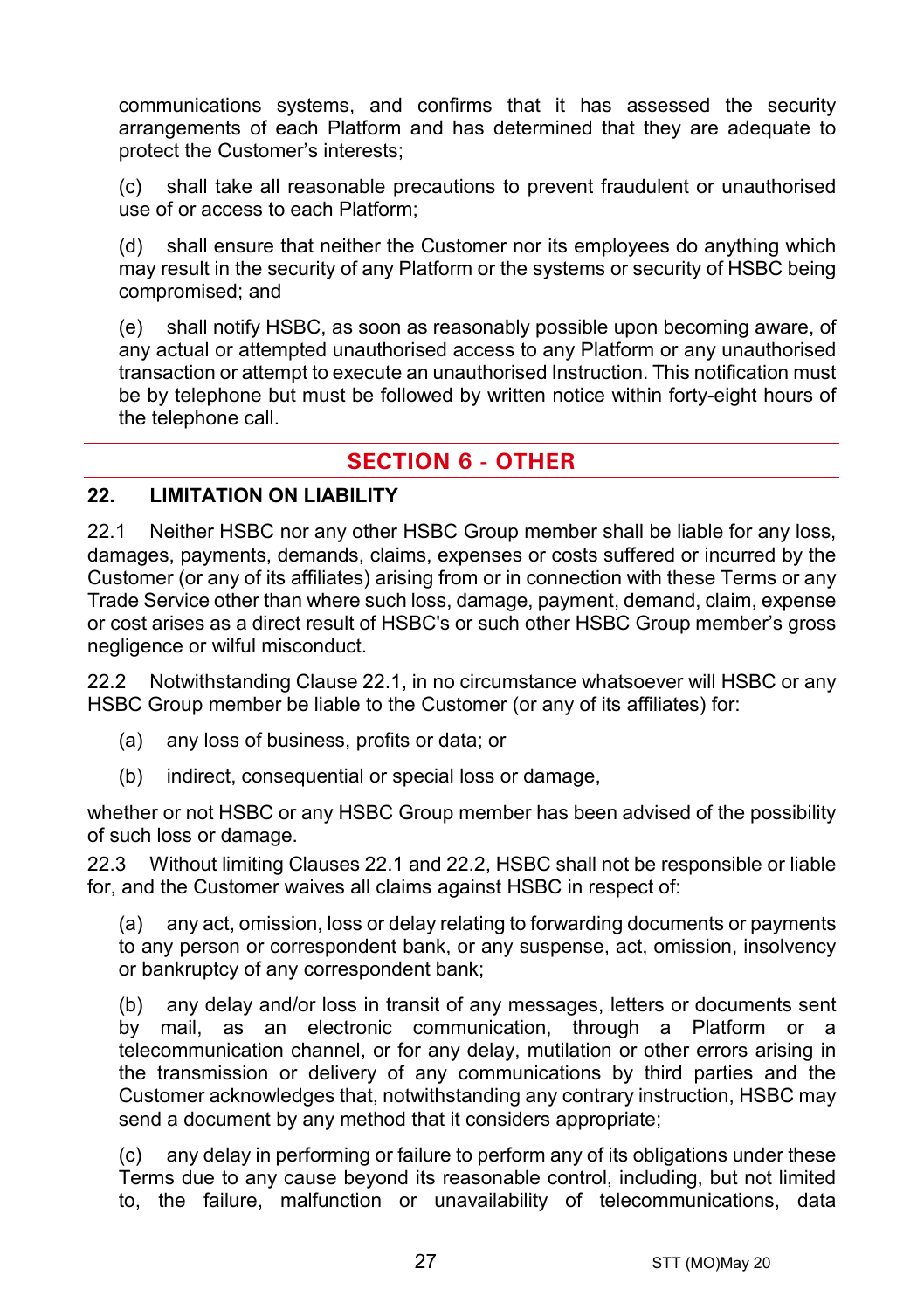communications systems, and confirms that it has assessed the security arrangements of each Platform and has determined that they are adequate to protect the Customer's interests;

(c) shall take all reasonable precautions to prevent fraudulent or unauthorised use of or access to each Platform;

(d) shall ensure that neither the Customer nor its employees do anything which may result in the security of any Platform or the systems or security of HSBC being compromised; and

(e) shall notify HSBC, as soon as reasonably possible upon becoming aware, of any actual or attempted unauthorised access to any Platform or any unauthorised transaction or attempt to execute an unauthorised Instruction. This notification must be by telephone but must be followed by written notice within forty-eight hours of the telephone call.

# **SECTION 6 - OTHER**

#### **22. LIMITATION ON LIABILITY**

<span id="page-26-0"></span>22.1 Neither HSBC nor any other HSBC Group member shall be liable for any loss, damages, payments, demands, claims, expenses or costs suffered or incurred by the Customer (or any of its affiliates) arising from or in connection with these Terms or any Trade Service other than where such loss, damage, payment, demand, claim, expense or cost arises as a direct result of HSBC's or such other HSBC Group member's gross negligence or wilful misconduct.

<span id="page-26-1"></span>22.2 Notwithstanding Clause [22.1,](#page-26-0) in no circumstance whatsoever will HSBC or any HSBC Group member be liable to the Customer (or any of its affiliates) for:

- (a) any loss of business, profits or data; or
- (b) indirect, consequential or special loss or damage,

whether or not HSBC or any HSBC Group member has been advised of the possibility of such loss or damage.

22.3 Without limiting Clauses [22.1](#page-26-0) and [22.2,](#page-26-1) HSBC shall not be responsible or liable for, and the Customer waives all claims against HSBC in respect of:

(a) any act, omission, loss or delay relating to forwarding documents or payments to any person or correspondent bank, or any suspense, act, omission, insolvency or bankruptcy of any correspondent bank;

(b) any delay and/or loss in transit of any messages, letters or documents sent by mail, as an electronic communication, through a Platform or a telecommunication channel, or for any delay, mutilation or other errors arising in the transmission or delivery of any communications by third parties and the Customer acknowledges that, notwithstanding any contrary instruction, HSBC may send a document by any method that it considers appropriate;

(c) any delay in performing or failure to perform any of its obligations under these Terms due to any cause beyond its reasonable control, including, but not limited to, the failure, malfunction or unavailability of telecommunications, data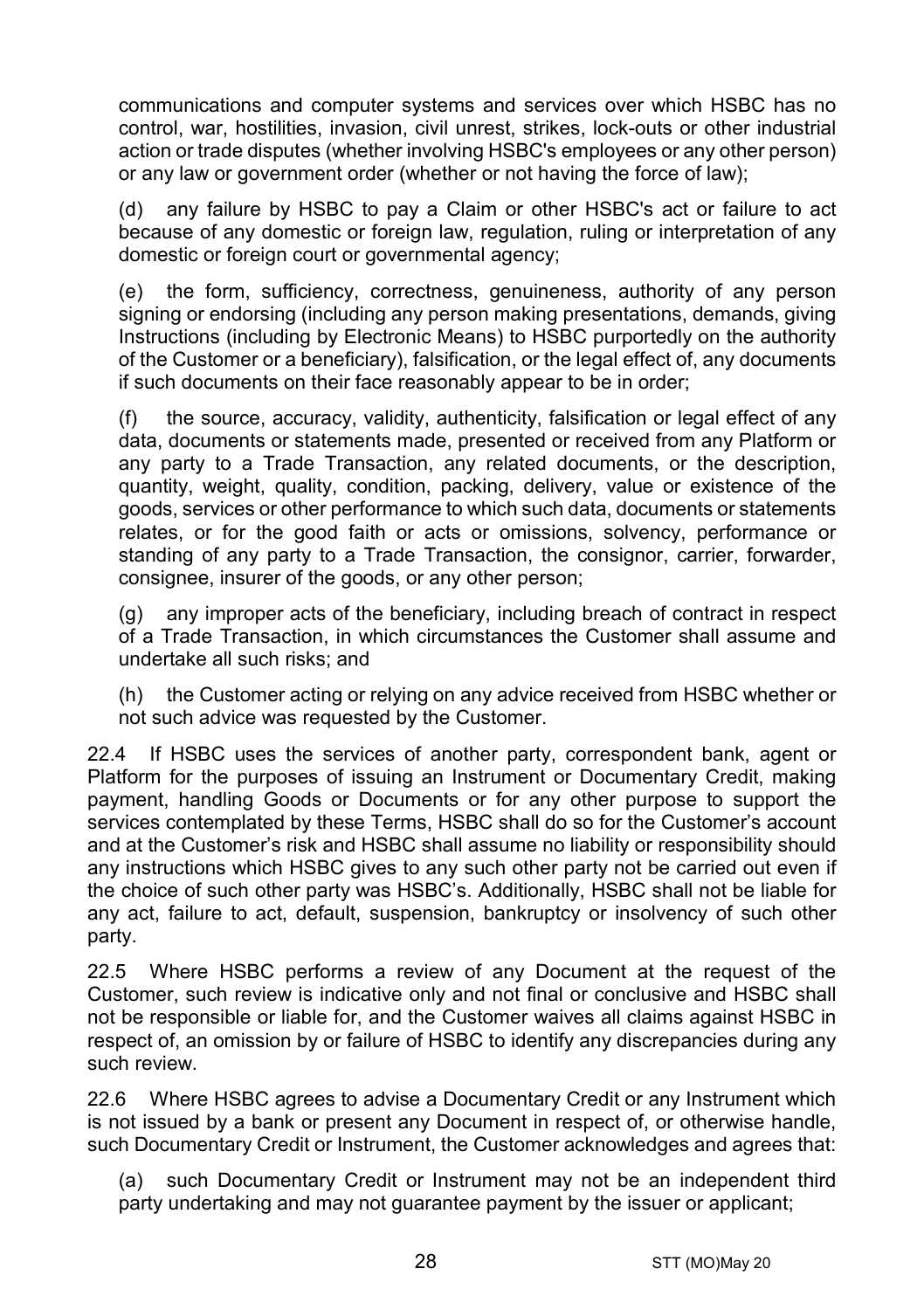communications and computer systems and services over which HSBC has no control, war, hostilities, invasion, civil unrest, strikes, lock-outs or other industrial action or trade disputes (whether involving HSBC's employees or any other person) or any law or government order (whether or not having the force of law);

(d) any failure by HSBC to pay a Claim or other HSBC's act or failure to act because of any domestic or foreign law, regulation, ruling or interpretation of any domestic or foreign court or governmental agency;

(e) the form, sufficiency, correctness, genuineness, authority of any person signing or endorsing (including any person making presentations, demands, giving Instructions (including by Electronic Means) to HSBC purportedly on the authority of the Customer or a beneficiary), falsification, or the legal effect of, any documents if such documents on their face reasonably appear to be in order;

(f) the source, accuracy, validity, authenticity, falsification or legal effect of any data, documents or statements made, presented or received from any Platform or any party to a Trade Transaction, any related documents, or the description, quantity, weight, quality, condition, packing, delivery, value or existence of the goods, services or other performance to which such data, documents or statements relates, or for the good faith or acts or omissions, solvency, performance or standing of any party to a Trade Transaction, the consignor, carrier, forwarder, consignee, insurer of the goods, or any other person;

(g) any improper acts of the beneficiary, including breach of contract in respect of a Trade Transaction, in which circumstances the Customer shall assume and undertake all such risks; and

(h) the Customer acting or relying on any advice received from HSBC whether or not such advice was requested by the Customer.

22.4 If HSBC uses the services of another party, correspondent bank, agent or Platform for the purposes of issuing an Instrument or Documentary Credit, making payment, handling Goods or Documents or for any other purpose to support the services contemplated by these Terms, HSBC shall do so for the Customer's account and at the Customer's risk and HSBC shall assume no liability or responsibility should any instructions which HSBC gives to any such other party not be carried out even if the choice of such other party was HSBC's. Additionally, HSBC shall not be liable for any act, failure to act, default, suspension, bankruptcy or insolvency of such other party.

22.5 Where HSBC performs a review of any Document at the request of the Customer, such review is indicative only and not final or conclusive and HSBC shall not be responsible or liable for, and the Customer waives all claims against HSBC in respect of, an omission by or failure of HSBC to identify any discrepancies during any such review.

22.6 Where HSBC agrees to advise a Documentary Credit or any Instrument which is not issued by a bank or present any Document in respect of, or otherwise handle, such Documentary Credit or Instrument, the Customer acknowledges and agrees that:

(a) such Documentary Credit or Instrument may not be an independent third party undertaking and may not guarantee payment by the issuer or applicant;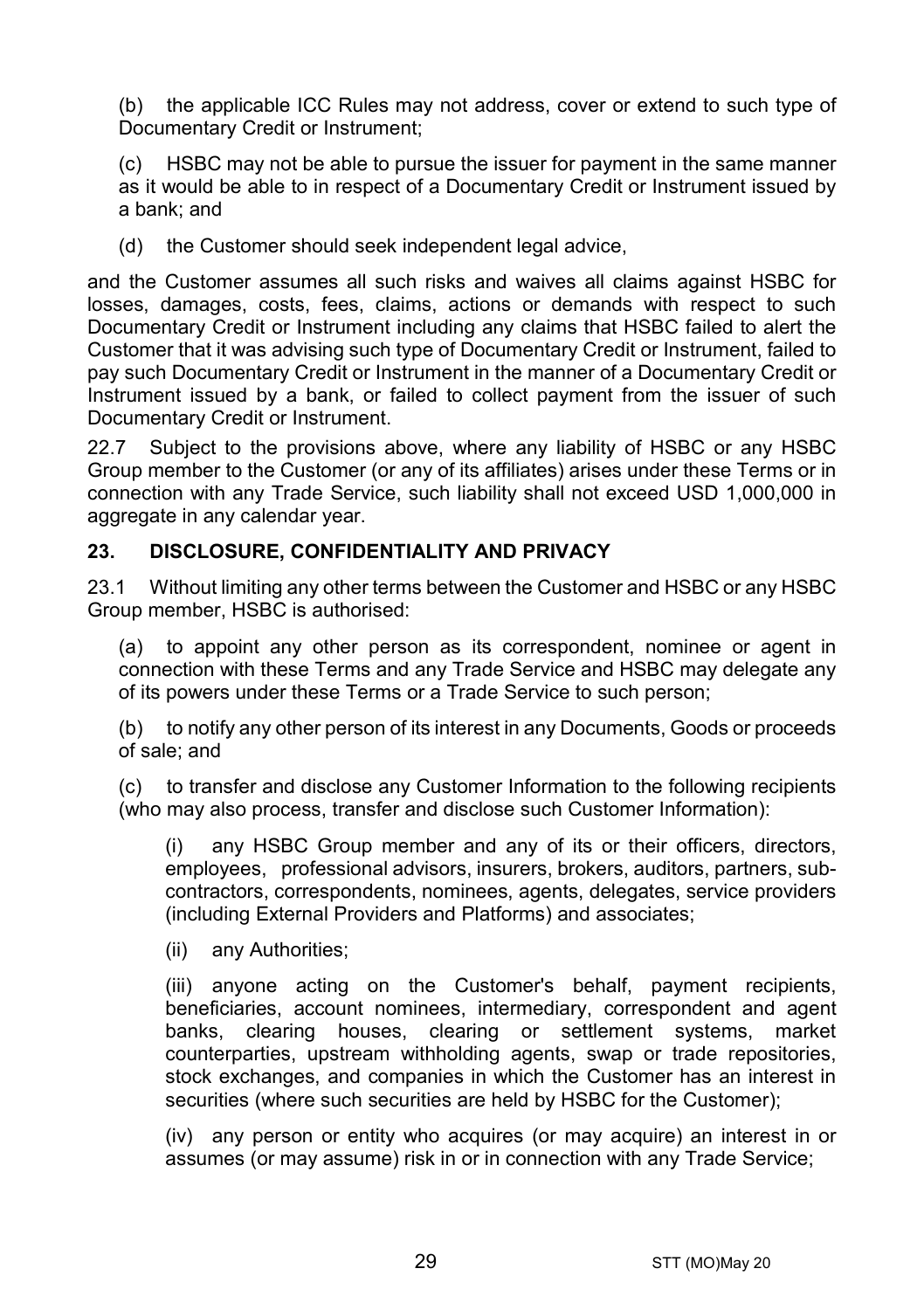(b) the applicable ICC Rules may not address, cover or extend to such type of Documentary Credit or Instrument:

HSBC may not be able to pursue the issuer for payment in the same manner as it would be able to in respect of a Documentary Credit or Instrument issued by a bank; and

(d) the Customer should seek independent legal advice,

and the Customer assumes all such risks and waives all claims against HSBC for losses, damages, costs, fees, claims, actions or demands with respect to such Documentary Credit or Instrument including any claims that HSBC failed to alert the Customer that it was advising such type of Documentary Credit or Instrument, failed to pay such Documentary Credit or Instrument in the manner of a Documentary Credit or Instrument issued by a bank, or failed to collect payment from the issuer of such Documentary Credit or Instrument.

22.7 Subject to the provisions above, where any liability of HSBC or any HSBC Group member to the Customer (or any of its affiliates) arises under these Terms or in connection with any Trade Service, such liability shall not exceed USD 1,000,000 in aggregate in any calendar year.

## <span id="page-28-1"></span>**23. DISCLOSURE, CONFIDENTIALITY AND PRIVACY**

23.1 Without limiting any other terms between the Customer and HSBC or any HSBC Group member, HSBC is authorised:

<span id="page-28-0"></span>(a) to appoint any other person as its correspondent, nominee or agent in connection with these Terms and any Trade Service and HSBC may delegate any of its powers under these Terms or a Trade Service to such person;

(b) to notify any other person of its interest in any Documents, Goods or proceeds of sale; and

(c) to transfer and disclose any Customer Information to the following recipients (who may also process, transfer and disclose such Customer Information):

(i) any HSBC Group member and any of its or their officers, directors, employees, professional advisors, insurers, brokers, auditors, partners, subcontractors, correspondents, nominees, agents, delegates, service providers (including External Providers and Platforms) and associates;

(ii) any Authorities;

(iii) anyone acting on the Customer's behalf, payment recipients, beneficiaries, account nominees, intermediary, correspondent and agent banks, clearing houses, clearing or settlement systems, market counterparties, upstream withholding agents, swap or trade repositories, stock exchanges, and companies in which the Customer has an interest in securities (where such securities are held by HSBC for the Customer);

(iv) any person or entity who acquires (or may acquire) an interest in or assumes (or may assume) risk in or in connection with any Trade Service;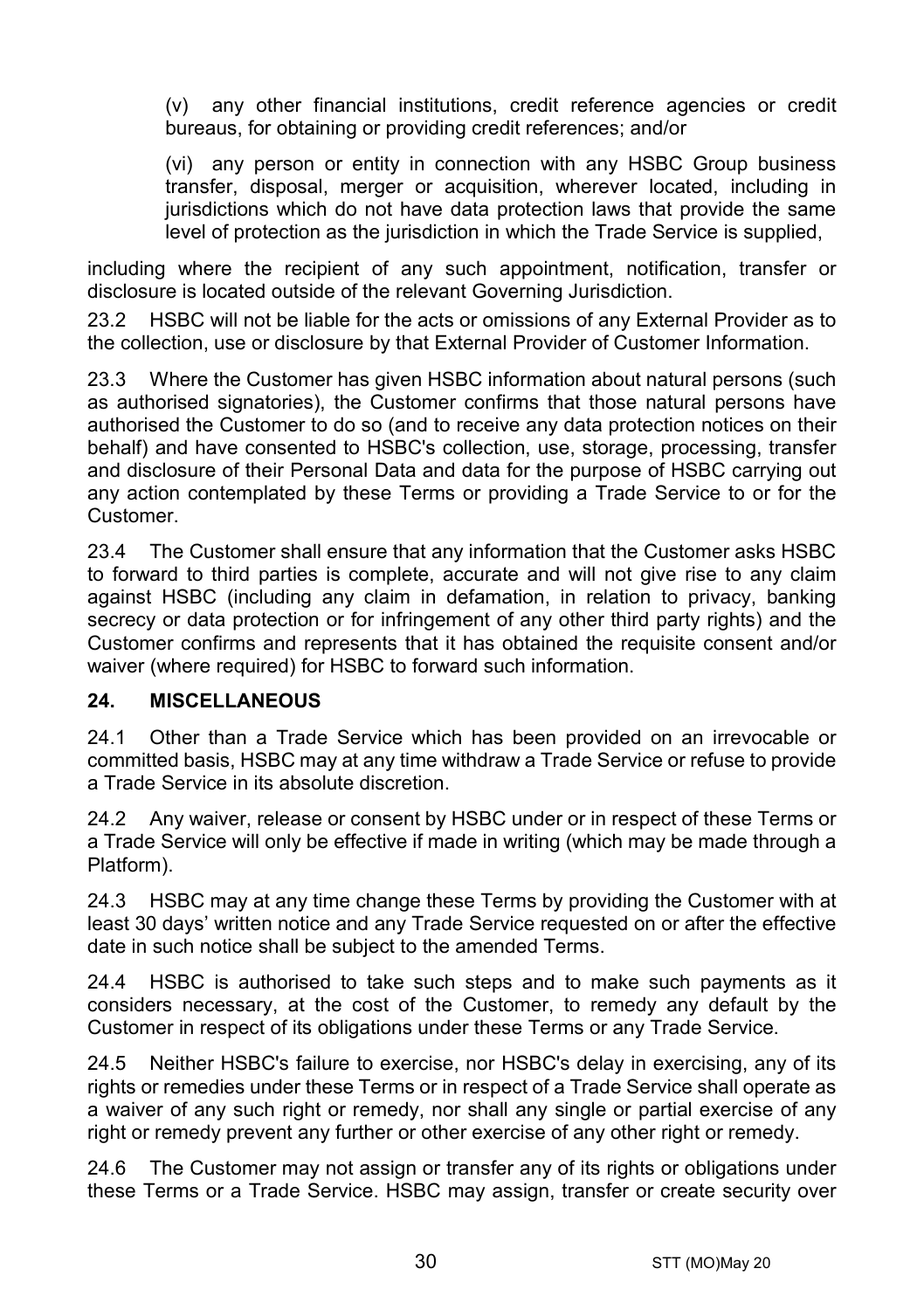(v) any other financial institutions, credit reference agencies or credit bureaus, for obtaining or providing credit references; and/or

(vi) any person or entity in connection with any HSBC Group business transfer, disposal, merger or acquisition, wherever located, including in jurisdictions which do not have data protection laws that provide the same level of protection as the jurisdiction in which the Trade Service is supplied,

including where the recipient of any such appointment, notification, transfer or disclosure is located outside of the relevant Governing Jurisdiction.

23.2 HSBC will not be liable for the acts or omissions of any External Provider as to the collection, use or disclosure by that External Provider of Customer Information.

23.3 Where the Customer has given HSBC information about natural persons (such as authorised signatories), the Customer confirms that those natural persons have authorised the Customer to do so (and to receive any data protection notices on their behalf) and have consented to HSBC's collection, use, storage, processing, transfer and disclosure of their Personal Data and data for the purpose of HSBC carrying out any action contemplated by these Terms or providing a Trade Service to or for the Customer.

23.4 The Customer shall ensure that any information that the Customer asks HSBC to forward to third parties is complete, accurate and will not give rise to any claim against HSBC (including any claim in defamation, in relation to privacy, banking secrecy or data protection or for infringement of any other third party rights) and the Customer confirms and represents that it has obtained the requisite consent and/or waiver (where required) for HSBC to forward such information.

## **24. MISCELLANEOUS**

24.1 Other than a Trade Service which has been provided on an irrevocable or committed basis, HSBC may at any time withdraw a Trade Service or refuse to provide a Trade Service in its absolute discretion.

24.2 Any waiver, release or consent by HSBC under or in respect of these Terms or a Trade Service will only be effective if made in writing (which may be made through a Platform).

24.3 HSBC may at any time change these Terms by providing the Customer with at least 30 days' written notice and any Trade Service requested on or after the effective date in such notice shall be subject to the amended Terms.

24.4 HSBC is authorised to take such steps and to make such payments as it considers necessary, at the cost of the Customer, to remedy any default by the Customer in respect of its obligations under these Terms or any Trade Service.

24.5 Neither HSBC's failure to exercise, nor HSBC's delay in exercising, any of its rights or remedies under these Terms or in respect of a Trade Service shall operate as a waiver of any such right or remedy, nor shall any single or partial exercise of any right or remedy prevent any further or other exercise of any other right or remedy.

24.6 The Customer may not assign or transfer any of its rights or obligations under these Terms or a Trade Service. HSBC may assign, transfer or create security over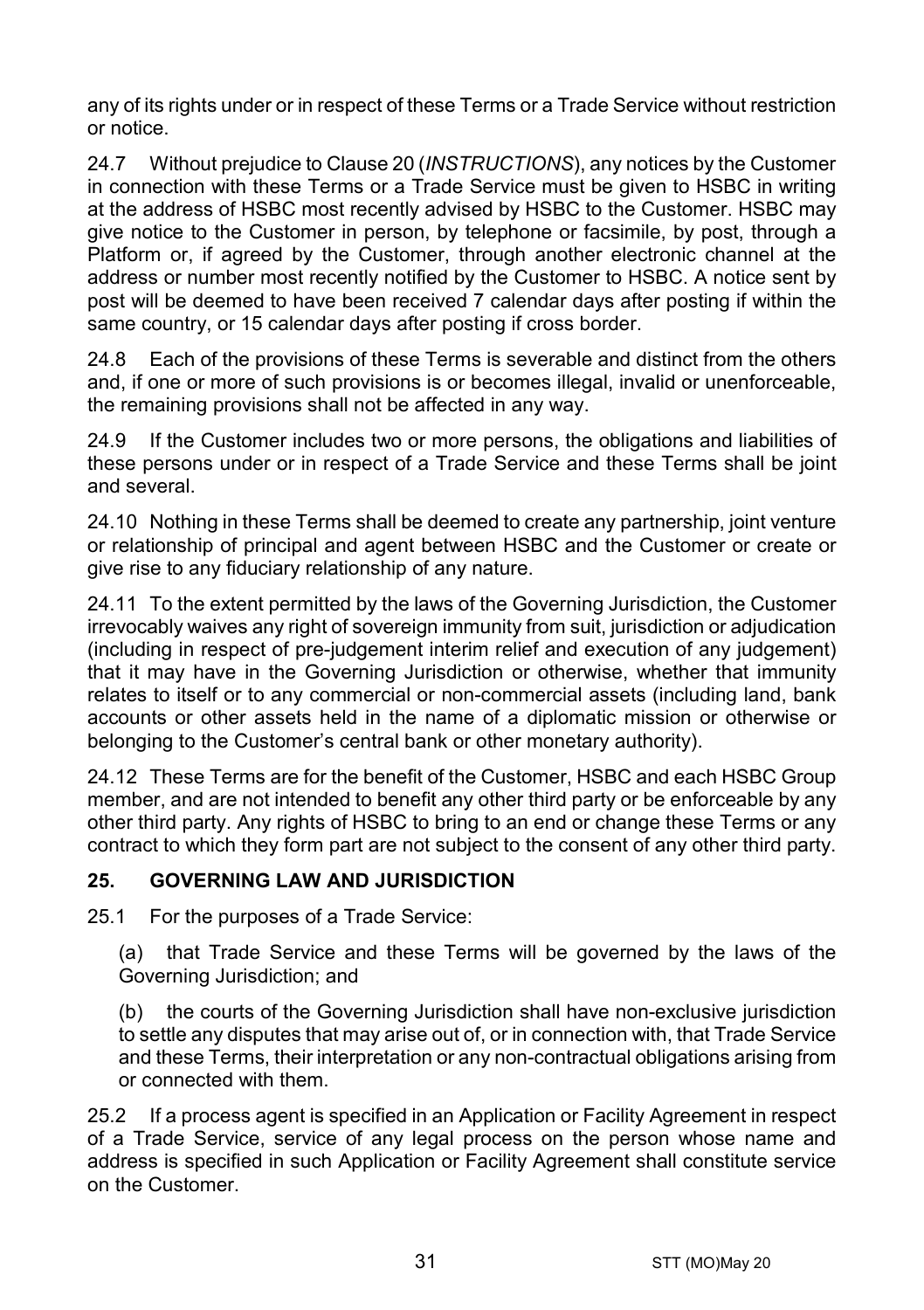any of its rights under or in respect of these Terms or a Trade Service without restriction or notice.

24.7 Without prejudice to Claus[e 20](#page-23-0) (*[INSTRUCTIONS](#page-23-0)*), any notices by the Customer in connection with these Terms or a Trade Service must be given to HSBC in writing at the address of HSBC most recently advised by HSBC to the Customer. HSBC may give notice to the Customer in person, by telephone or facsimile, by post, through a Platform or, if agreed by the Customer, through another electronic channel at the address or number most recently notified by the Customer to HSBC. A notice sent by post will be deemed to have been received 7 calendar days after posting if within the same country, or 15 calendar days after posting if cross border.

24.8 Each of the provisions of these Terms is severable and distinct from the others and, if one or more of such provisions is or becomes illegal, invalid or unenforceable, the remaining provisions shall not be affected in any way.

24.9 If the Customer includes two or more persons, the obligations and liabilities of these persons under or in respect of a Trade Service and these Terms shall be joint and several.

24.10 Nothing in these Terms shall be deemed to create any partnership, joint venture or relationship of principal and agent between HSBC and the Customer or create or give rise to any fiduciary relationship of any nature.

24.11 To the extent permitted by the laws of the Governing Jurisdiction, the Customer irrevocably waives any right of sovereign immunity from suit, jurisdiction or adjudication (including in respect of pre-judgement interim relief and execution of any judgement) that it may have in the Governing Jurisdiction or otherwise, whether that immunity relates to itself or to any commercial or non-commercial assets (including land, bank accounts or other assets held in the name of a diplomatic mission or otherwise or belonging to the Customer's central bank or other monetary authority).

24.12 These Terms are for the benefit of the Customer, HSBC and each HSBC Group member, and are not intended to benefit any other third party or be enforceable by any other third party. Any rights of HSBC to bring to an end or change these Terms or any contract to which they form part are not subject to the consent of any other third party.

# **25. GOVERNING LAW AND JURISDICTION**

25.1 For the purposes of a Trade Service:

(a) that Trade Service and these Terms will be governed by the laws of the Governing Jurisdiction; and

(b) the courts of the Governing Jurisdiction shall have non-exclusive jurisdiction to settle any disputes that may arise out of, or in connection with, that Trade Service and these Terms, their interpretation or any non-contractual obligations arising from or connected with them.

25.2 If a process agent is specified in an Application or Facility Agreement in respect of a Trade Service, service of any legal process on the person whose name and address is specified in such Application or Facility Agreement shall constitute service on the Customer.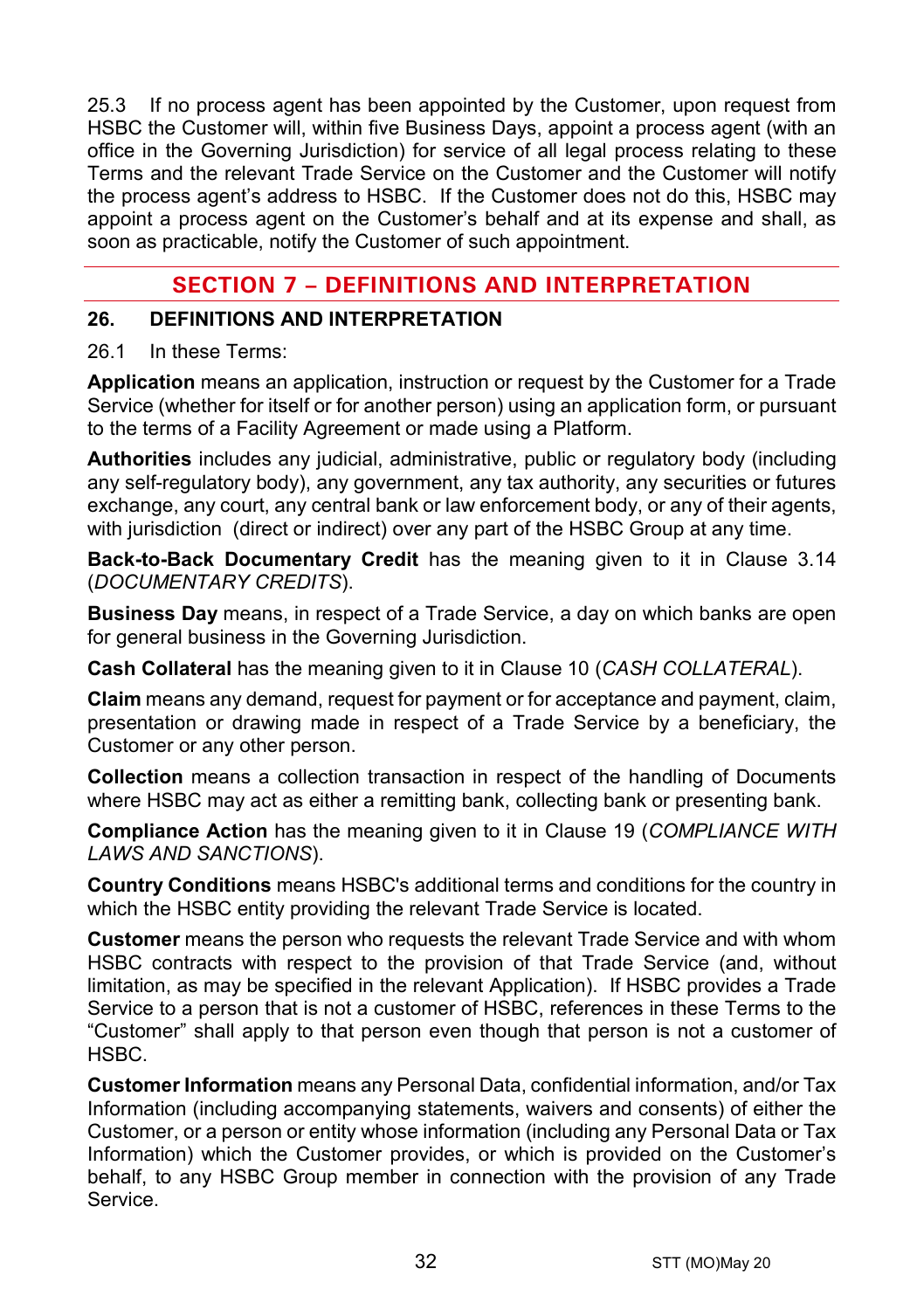25.3 If no process agent has been appointed by the Customer, upon request from HSBC the Customer will, within five Business Days, appoint a process agent (with an office in the Governing Jurisdiction) for service of all legal process relating to these Terms and the relevant Trade Service on the Customer and the Customer will notify the process agent's address to HSBC. If the Customer does not do this, HSBC may appoint a process agent on the Customer's behalf and at its expense and shall, as soon as practicable, notify the Customer of such appointment.

# **SECTION 7 – DEFINITIONS AND INTERPRETATION**

#### **26. DEFINITIONS AND INTERPRETATION**

#### 26.1 In these Terms:

**Application** means an application, instruction or request by the Customer for a Trade Service (whether for itself or for another person) using an application form, or pursuant to the terms of a Facility Agreement or made using a Platform.

**Authorities** includes any judicial, administrative, public or regulatory body (including any self-regulatory body), any government, any tax authority, any securities or futures exchange, any court, any central bank or law enforcement body, or any of their agents, with jurisdiction (direct or indirect) over any part of the HSBC Group at any time.

**Back-to-Back Documentary Credit** has the meaning given to it in Clause [3.14](#page-5-0) (*[DOCUMENTARY CREDITS](#page-3-0)*).

**Business Day** means, in respect of a Trade Service, a day on which banks are open for general business in the Governing Jurisdiction.

**Cash Collateral** has the meaning given to it in Clause [10](#page-13-2) (*[CASH COLLATERAL](#page-13-2)*).

**Claim** means any demand, request for payment or for acceptance and payment, claim, presentation or drawing made in respect of a Trade Service by a beneficiary, the Customer or any other person.

**Collection** means a collection transaction in respect of the handling of Documents where HSBC may act as either a remitting bank, collecting bank or presenting bank.

**Compliance Action** has the meaning given to it in Clause [19](#page-22-0) (*[COMPLIANCE WITH](#page-22-0)  [LAWS AND SANCTIONS](#page-22-0)*).

**Country Conditions** means HSBC's additional terms and conditions for the country in which the HSBC entity providing the relevant Trade Service is located.

**Customer** means the person who requests the relevant Trade Service and with whom HSBC contracts with respect to the provision of that Trade Service (and, without limitation, as may be specified in the relevant Application). If HSBC provides a Trade Service to a person that is not a customer of HSBC, references in these Terms to the "Customer" shall apply to that person even though that person is not a customer of HSBC.

**Customer Information** means any Personal Data, confidential information, and/or Tax Information (including accompanying statements, waivers and consents) of either the Customer, or a person or entity whose information (including any Personal Data or Tax Information) which the Customer provides, or which is provided on the Customer's behalf, to any HSBC Group member in connection with the provision of any Trade Service.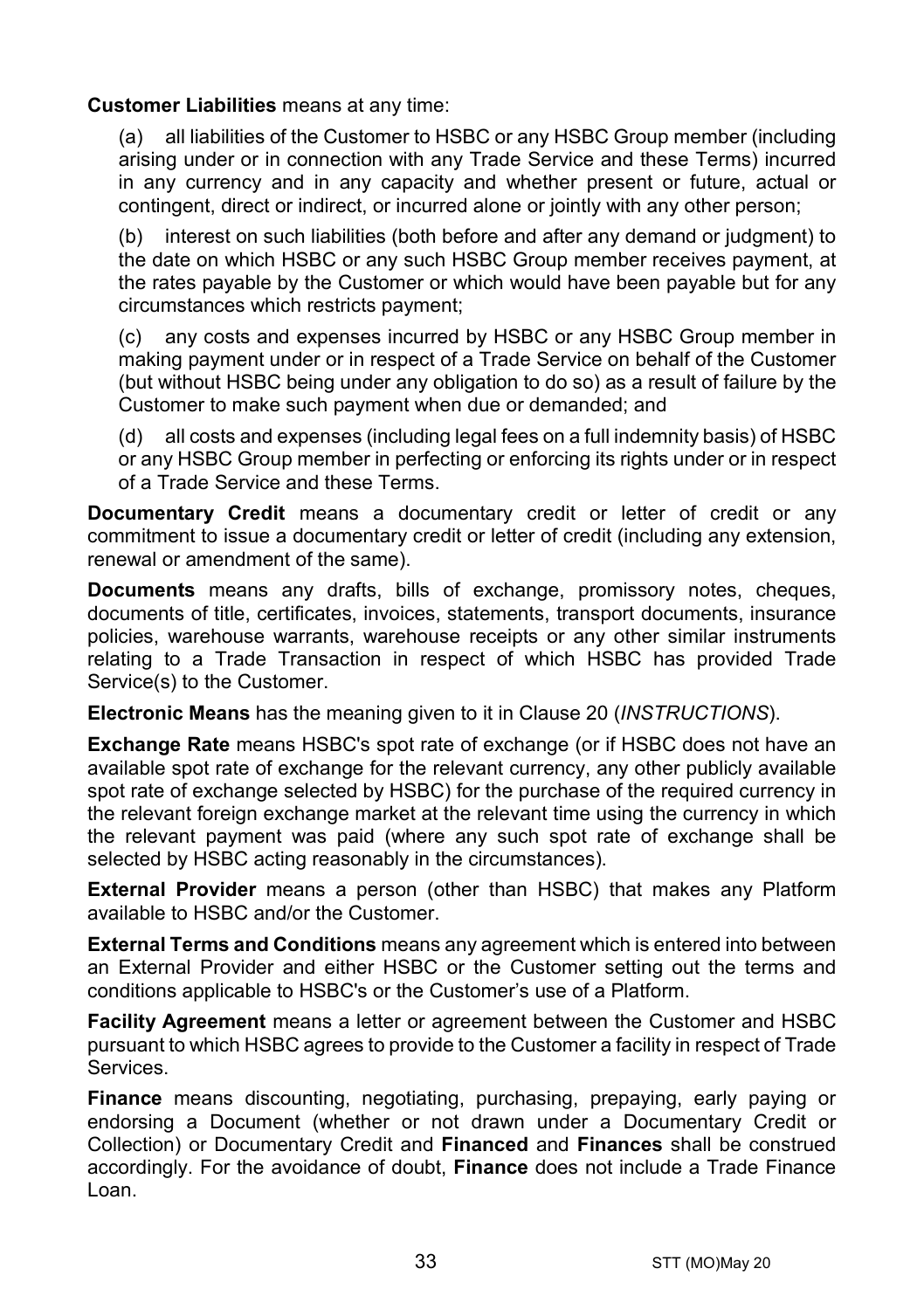#### **Customer Liabilities** means at any time:

(a) all liabilities of the Customer to HSBC or any HSBC Group member (including arising under or in connection with any Trade Service and these Terms) incurred in any currency and in any capacity and whether present or future, actual or contingent, direct or indirect, or incurred alone or jointly with any other person;

(b) interest on such liabilities (both before and after any demand or judgment) to the date on which HSBC or any such HSBC Group member receives payment, at the rates payable by the Customer or which would have been payable but for any circumstances which restricts payment;

(c) any costs and expenses incurred by HSBC or any HSBC Group member in making payment under or in respect of a Trade Service on behalf of the Customer (but without HSBC being under any obligation to do so) as a result of failure by the Customer to make such payment when due or demanded; and

(d) all costs and expenses (including legal fees on a full indemnity basis) of HSBC or any HSBC Group member in perfecting or enforcing its rights under or in respect of a Trade Service and these Terms.

**Documentary Credit** means a documentary credit or letter of credit or any commitment to issue a documentary credit or letter of credit (including any extension, renewal or amendment of the same).

**Documents** means any drafts, bills of exchange, promissory notes, cheques, documents of title, certificates, invoices, statements, transport documents, insurance policies, warehouse warrants, warehouse receipts or any other similar instruments relating to a Trade Transaction in respect of which HSBC has provided Trade Service(s) to the Customer.

**Electronic Means** has the meaning given to it in Clause [20](#page-23-0) (*[INSTRUCTIONS](#page-23-0)*).

**Exchange Rate** means HSBC's spot rate of exchange (or if HSBC does not have an available spot rate of exchange for the relevant currency, any other publicly available spot rate of exchange selected by HSBC) for the purchase of the required currency in the relevant foreign exchange market at the relevant time using the currency in which the relevant payment was paid (where any such spot rate of exchange shall be selected by HSBC acting reasonably in the circumstances).

**External Provider** means a person (other than HSBC) that makes any Platform available to HSBC and/or the Customer.

**External Terms and Conditions** means any agreement which is entered into between an External Provider and either HSBC or the Customer setting out the terms and conditions applicable to HSBC's or the Customer's use of a Platform.

**Facility Agreement** means a letter or agreement between the Customer and HSBC pursuant to which HSBC agrees to provide to the Customer a facility in respect of Trade Services.

**Finance** means discounting, negotiating, purchasing, prepaying, early paying or endorsing a Document (whether or not drawn under a Documentary Credit or Collection) or Documentary Credit and **Financed** and **Finances** shall be construed accordingly. For the avoidance of doubt, **Finance** does not include a Trade Finance Loan.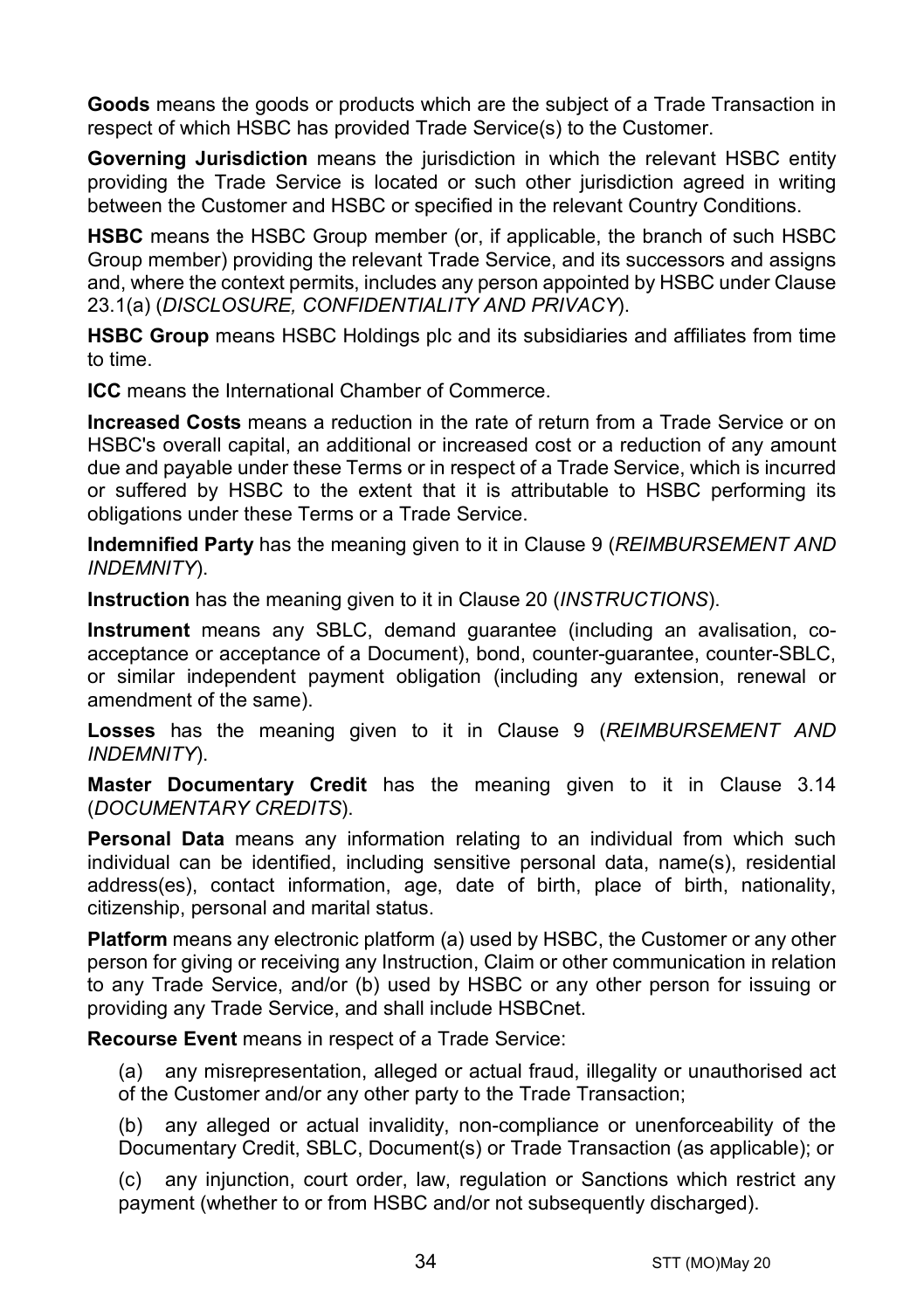**Goods** means the goods or products which are the subject of a Trade Transaction in respect of which HSBC has provided Trade Service(s) to the Customer.

**Governing Jurisdiction** means the jurisdiction in which the relevant HSBC entity providing the Trade Service is located or such other jurisdiction agreed in writing between the Customer and HSBC or specified in the relevant Country Conditions.

**HSBC** means the HSBC Group member (or, if applicable, the branch of such HSBC Group member) providing the relevant Trade Service, and its successors and assigns and, where the context permits, includes any person appointed by HSBC under Clause [23.1\(a\)](#page-28-0) (*[DISCLOSURE, CONFIDENTIALITY AND PRIVACY](#page-28-1)*).

**HSBC Group** means HSBC Holdings plc and its subsidiaries and affiliates from time to time.

**ICC** means the International Chamber of Commerce.

**Increased Costs** means a reduction in the rate of return from a Trade Service or on HSBC's overall capital, an additional or increased cost or a reduction of any amount due and payable under these Terms or in respect of a Trade Service, which is incurred or suffered by HSBC to the extent that it is attributable to HSBC performing its obligations under these Terms or a Trade Service.

**Indemnified Party** has the meaning given to it in Claus[e 9](#page-13-0) (*[REIMBURSEMENT AND](#page-13-0)  [INDEMNITY](#page-13-0)*).

**Instruction** has the meaning given to it in Clause [20](#page-23-0) (*[INSTRUCTIONS](#page-23-0)*).

**Instrument** means any SBLC, demand guarantee (including an avalisation, coacceptance or acceptance of a Document), bond, counter-guarantee, counter-SBLC, or similar independent payment obligation (including any extension, renewal or amendment of the same).

**Losses** has the meaning given to it in Clause [9](#page-13-0) (*[REIMBURSEMENT AND](#page-13-0)  [INDEMNITY](#page-13-0)*).

**Master Documentary Credit** has the meaning given to it in Clause [3.14](#page-5-0) (*[DOCUMENTARY CREDITS](#page-3-0)*).

**Personal Data** means any information relating to an individual from which such individual can be identified, including sensitive personal data, name(s), residential address(es), contact information, age, date of birth, place of birth, nationality, citizenship, personal and marital status.

**Platform** means any electronic platform (a) used by HSBC, the Customer or any other person for giving or receiving any Instruction, Claim or other communication in relation to any Trade Service, and/or (b) used by HSBC or any other person for issuing or providing any Trade Service, and shall include HSBCnet.

**Recourse Event** means in respect of a Trade Service:

(a) any misrepresentation, alleged or actual fraud, illegality or unauthorised act of the Customer and/or any other party to the Trade Transaction;

(b) any alleged or actual invalidity, non-compliance or unenforceability of the Documentary Credit, SBLC, Document(s) or Trade Transaction (as applicable); or

(c) any injunction, court order, law, regulation or Sanctions which restrict any payment (whether to or from HSBC and/or not subsequently discharged).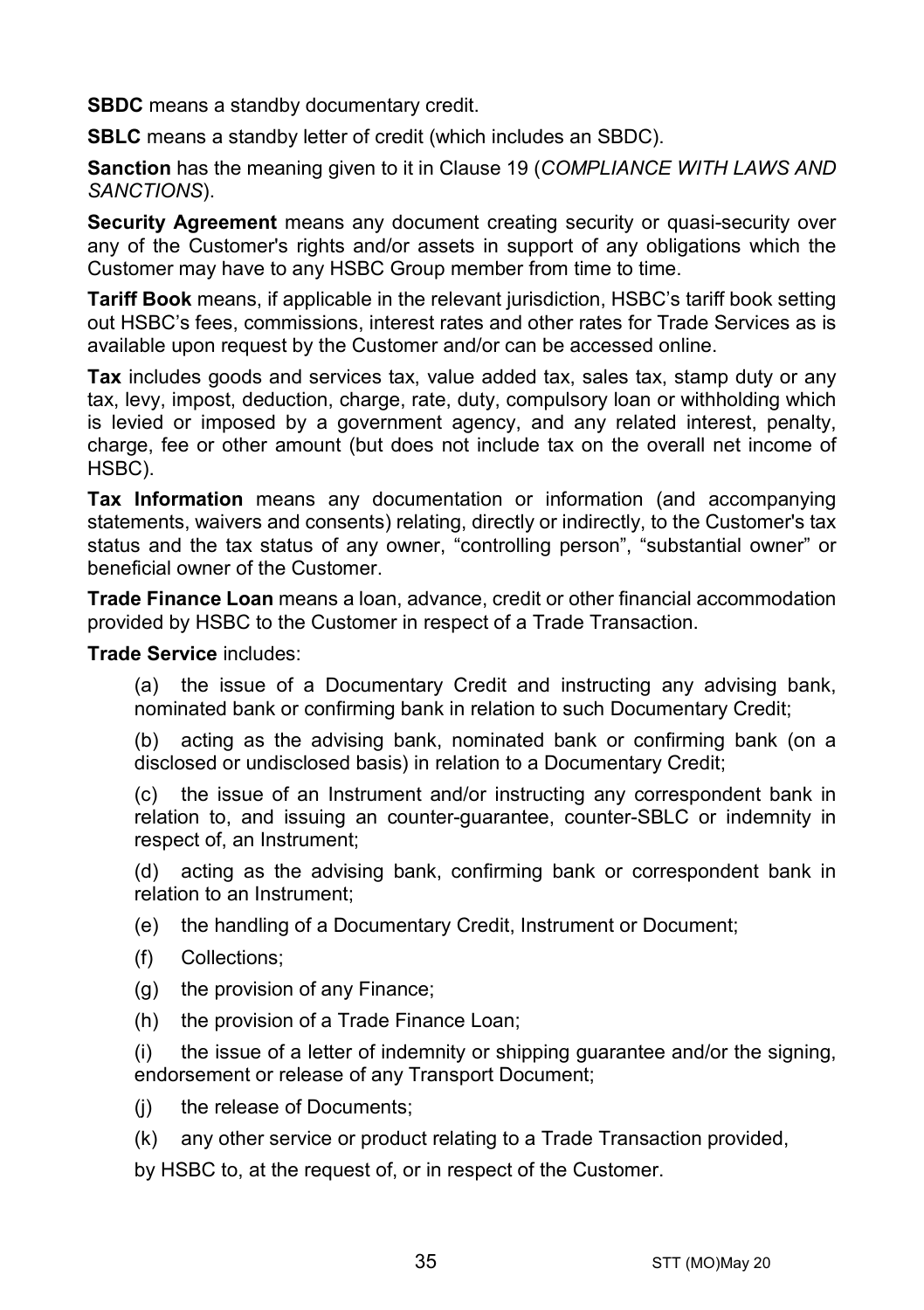**SBDC** means a standby documentary credit.

**SBLC** means a standby letter of credit (which includes an SBDC).

**Sanction** has the meaning given to it in Clause [19](#page-22-0) (*[COMPLIANCE WITH LAWS AND](#page-22-0)  [SANCTIONS](#page-22-0)*).

**Security Agreement** means any document creating security or quasi-security over any of the Customer's rights and/or assets in support of any obligations which the Customer may have to any HSBC Group member from time to time.

**Tariff Book** means, if applicable in the relevant jurisdiction, HSBC's tariff book setting out HSBC's fees, commissions, interest rates and other rates for Trade Services as is available upon request by the Customer and/or can be accessed online.

**Tax** includes goods and services tax, value added tax, sales tax, stamp duty or any tax, levy, impost, deduction, charge, rate, duty, compulsory loan or withholding which is levied or imposed by a government agency, and any related interest, penalty, charge, fee or other amount (but does not include tax on the overall net income of HSBC).

**Tax Information** means any documentation or information (and accompanying statements, waivers and consents) relating, directly or indirectly, to the Customer's tax status and the tax status of any owner, "controlling person", "substantial owner" or beneficial owner of the Customer.

**Trade Finance Loan** means a loan, advance, credit or other financial accommodation provided by HSBC to the Customer in respect of a Trade Transaction.

**Trade Service** includes:

(a) the issue of a Documentary Credit and instructing any advising bank, nominated bank or confirming bank in relation to such Documentary Credit;

(b) acting as the advising bank, nominated bank or confirming bank (on a disclosed or undisclosed basis) in relation to a Documentary Credit;

(c) the issue of an Instrument and/or instructing any correspondent bank in relation to, and issuing an counter-guarantee, counter-SBLC or indemnity in respect of, an Instrument;

(d) acting as the advising bank, confirming bank or correspondent bank in relation to an Instrument;

(e) the handling of a Documentary Credit, Instrument or Document;

- (f) Collections;
- (g) the provision of any Finance;
- (h) the provision of a Trade Finance Loan;

(i) the issue of a letter of indemnity or shipping guarantee and/or the signing, endorsement or release of any Transport Document;

- (i) the release of Documents:
- (k) any other service or product relating to a Trade Transaction provided,

by HSBC to, at the request of, or in respect of the Customer.